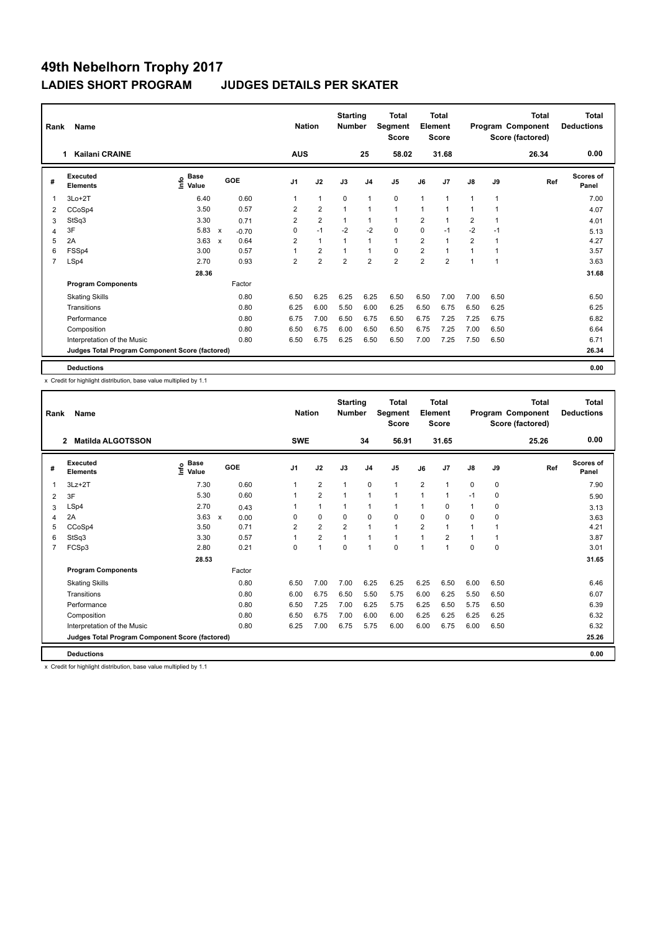| Rank           | Name<br><b>Kailani CRAINE</b><br>1              |                                  |                           |         |                | <b>Nation</b>  | <b>Starting</b><br><b>Number</b> |                | Total<br>Segment<br><b>Score</b> |                | <b>Total</b><br>Element<br><b>Score</b> |                |                | <b>Total</b><br>Program Component<br>Score (factored) | <b>Total</b><br><b>Deductions</b> |
|----------------|-------------------------------------------------|----------------------------------|---------------------------|---------|----------------|----------------|----------------------------------|----------------|----------------------------------|----------------|-----------------------------------------|----------------|----------------|-------------------------------------------------------|-----------------------------------|
|                |                                                 |                                  |                           |         | <b>AUS</b>     |                |                                  | 25             | 58.02                            |                | 31.68                                   |                |                | 26.34                                                 | 0.00                              |
| #              | Executed<br><b>Elements</b>                     | <b>Base</b><br>e Base<br>⊆ Value |                           | GOE     | J <sub>1</sub> | J2             | J3                               | J <sub>4</sub> | J <sub>5</sub>                   | J6             | J7                                      | $\mathsf{J}8$  | J9             | Ref                                                   | Scores of<br>Panel                |
| $\overline{1}$ | $3Lo+2T$                                        | 6.40                             |                           | 0.60    | 1              | $\mathbf{1}$   | $\mathbf 0$                      | $\mathbf{1}$   | $\mathbf 0$                      | $\mathbf{1}$   | 1                                       | 1              | $\overline{1}$ |                                                       | 7.00                              |
| 2              | CCoSp4                                          | 3.50                             |                           | 0.57    | 2              | $\overline{2}$ |                                  | $\mathbf{1}$   | $\mathbf{1}$                     | 1              |                                         | 1              |                |                                                       | 4.07                              |
| 3              | StSq3                                           | 3.30                             |                           | 0.71    | $\overline{2}$ | $\overline{2}$ | $\mathbf{1}$                     | $\mathbf 1$    | $\mathbf{1}$                     | $\overline{2}$ | $\overline{1}$                          | $\overline{2}$ |                |                                                       | 4.01                              |
| 4              | 3F                                              | 5.83                             | X                         | $-0.70$ | $\mathbf 0$    | $-1$           | $-2$                             | $-2$           | $\mathbf 0$                      | $\Omega$       | $-1$                                    | $-2$           | $-1$           |                                                       | 5.13                              |
| 5              | 2A                                              | 3.63                             | $\boldsymbol{\mathsf{x}}$ | 0.64    | 2              | $\mathbf{1}$   |                                  | $\overline{1}$ | $\mathbf{1}$                     | $\overline{2}$ | 1                                       | $\overline{2}$ |                |                                                       | 4.27                              |
| 6              | FSSp4                                           | 3.00                             |                           | 0.57    | 1              | $\overline{2}$ |                                  | 1              | 0                                | $\overline{2}$ | 1                                       | 1              |                |                                                       | 3.57                              |
| $\overline{7}$ | LSp4                                            | 2.70                             |                           | 0.93    | $\overline{2}$ | $\overline{2}$ | $\overline{2}$                   | $\overline{2}$ | $\overline{2}$                   | $\overline{2}$ | $\overline{2}$                          | 1              | $\overline{1}$ |                                                       | 3.63                              |
|                |                                                 | 28.36                            |                           |         |                |                |                                  |                |                                  |                |                                         |                |                |                                                       | 31.68                             |
|                | <b>Program Components</b>                       |                                  |                           | Factor  |                |                |                                  |                |                                  |                |                                         |                |                |                                                       |                                   |
|                | <b>Skating Skills</b>                           |                                  |                           | 0.80    | 6.50           | 6.25           | 6.25                             | 6.25           | 6.50                             | 6.50           | 7.00                                    | 7.00           | 6.50           |                                                       | 6.50                              |
|                | Transitions                                     |                                  |                           | 0.80    | 6.25           | 6.00           | 5.50                             | 6.00           | 6.25                             | 6.50           | 6.75                                    | 6.50           | 6.25           |                                                       | 6.25                              |
|                | Performance                                     |                                  |                           | 0.80    | 6.75           | 7.00           | 6.50                             | 6.75           | 6.50                             | 6.75           | 7.25                                    | 7.25           | 6.75           |                                                       | 6.82                              |
|                | Composition                                     |                                  |                           | 0.80    | 6.50           | 6.75           | 6.00                             | 6.50           | 6.50                             | 6.75           | 7.25                                    | 7.00           | 6.50           |                                                       | 6.64                              |
|                | Interpretation of the Music                     |                                  |                           | 0.80    | 6.50           | 6.75           | 6.25                             | 6.50           | 6.50                             | 7.00           | 7.25                                    | 7.50           | 6.50           |                                                       | 6.71                              |
|                | Judges Total Program Component Score (factored) |                                  |                           |         |                |                |                                  |                |                                  |                |                                         |                |                |                                                       | 26.34                             |
|                | <b>Deductions</b>                               |                                  |                           |         |                |                |                                  |                |                                  |                |                                         |                |                |                                                       | 0.00                              |

x Credit for highlight distribution, base value multiplied by 1.1

| Rank           | Name<br><b>Matilda ALGOTSSON</b><br>$\overline{2}$ |                                  |                                   |                | <b>Nation</b>  | <b>Starting</b><br><b>Number</b> |                | <b>Total</b><br>Segment<br><b>Score</b> |                | <b>Total</b><br>Element<br><b>Score</b> |               |              | <b>Total</b><br>Program Component<br>Score (factored) | <b>Total</b><br><b>Deductions</b> |
|----------------|----------------------------------------------------|----------------------------------|-----------------------------------|----------------|----------------|----------------------------------|----------------|-----------------------------------------|----------------|-----------------------------------------|---------------|--------------|-------------------------------------------------------|-----------------------------------|
|                |                                                    |                                  |                                   | <b>SWE</b>     |                |                                  | 34             | 56.91                                   |                | 31.65                                   |               |              | 25.26                                                 | 0.00                              |
| #              | Executed<br><b>Elements</b>                        | <b>Base</b><br>e Base<br>⊆ Value | GOE                               | J <sub>1</sub> | J2             | J3                               | J <sub>4</sub> | J <sub>5</sub>                          | J6             | J <sub>7</sub>                          | $\mathsf{J}8$ | J9           | Ref                                                   | Scores of<br>Panel                |
| 1              | $3Lz + 2T$                                         | 7.30                             | 0.60                              | 1              | $\overline{2}$ | $\mathbf{1}$                     | $\mathbf 0$    | 1                                       | $\overline{2}$ | 1                                       | 0             | 0            |                                                       | 7.90                              |
| 2              | 3F                                                 | 5.30                             | 0.60                              | 1              | $\overline{2}$ | $\mathbf{1}$                     | $\overline{1}$ | $\mathbf{1}$                            | 1              | 1                                       | $-1$          | $\Omega$     |                                                       | 5.90                              |
| 3              | LSp4                                               | 2.70                             | 0.43                              |                | $\mathbf{1}$   | $\mathbf{1}$                     | 1              | 1                                       | 1              | $\Omega$                                | $\mathbf{1}$  | 0            |                                                       | 3.13                              |
| 4              | 2A                                                 | 3.63                             | $\boldsymbol{\mathsf{x}}$<br>0.00 | 0              | 0              | $\mathbf 0$                      | $\Omega$       | $\Omega$                                | $\Omega$       | $\Omega$                                | 0             | 0            |                                                       | 3.63                              |
| 5              | CCoSp4                                             | 3.50                             | 0.71                              | $\overline{2}$ | $\overline{2}$ | $\overline{2}$                   | $\mathbf{1}$   | $\mathbf{1}$                            | $\overline{2}$ | $\overline{1}$                          | $\mathbf{1}$  | $\mathbf{1}$ |                                                       | 4.21                              |
| 6              | StSq3                                              | 3.30                             | 0.57                              | 1              | $\overline{2}$ | $\mathbf{1}$                     | $\mathbf{1}$   | $\mathbf{1}$                            | $\mathbf{1}$   | $\overline{2}$                          | $\mathbf{1}$  | $\mathbf{1}$ |                                                       | 3.87                              |
| $\overline{7}$ | FCSp3                                              | 2.80                             | 0.21                              | 0              | $\mathbf{1}$   | $\Omega$                         | $\overline{1}$ | $\Omega$                                | 1              | 1                                       | 0             | $\mathbf 0$  |                                                       | 3.01                              |
|                |                                                    | 28.53                            |                                   |                |                |                                  |                |                                         |                |                                         |               |              |                                                       | 31.65                             |
|                | <b>Program Components</b>                          |                                  | Factor                            |                |                |                                  |                |                                         |                |                                         |               |              |                                                       |                                   |
|                | <b>Skating Skills</b>                              |                                  | 0.80                              | 6.50           | 7.00           | 7.00                             | 6.25           | 6.25                                    | 6.25           | 6.50                                    | 6.00          | 6.50         |                                                       | 6.46                              |
|                | Transitions                                        |                                  | 0.80                              | 6.00           | 6.75           | 6.50                             | 5.50           | 5.75                                    | 6.00           | 6.25                                    | 5.50          | 6.50         |                                                       | 6.07                              |
|                | Performance                                        |                                  | 0.80                              | 6.50           | 7.25           | 7.00                             | 6.25           | 5.75                                    | 6.25           | 6.50                                    | 5.75          | 6.50         |                                                       | 6.39                              |
|                | Composition                                        |                                  | 0.80                              | 6.50           | 6.75           | 7.00                             | 6.00           | 6.00                                    | 6.25           | 6.25                                    | 6.25          | 6.25         |                                                       | 6.32                              |
|                | Interpretation of the Music                        |                                  | 0.80                              | 6.25           | 7.00           | 6.75                             | 5.75           | 6.00                                    | 6.00           | 6.75                                    | 6.00          | 6.50         |                                                       | 6.32                              |
|                | Judges Total Program Component Score (factored)    |                                  |                                   |                |                |                                  |                |                                         |                |                                         |               |              |                                                       | 25.26                             |
|                | <b>Deductions</b>                                  |                                  |                                   |                |                |                                  |                |                                         |                |                                         |               |              |                                                       | 0.00                              |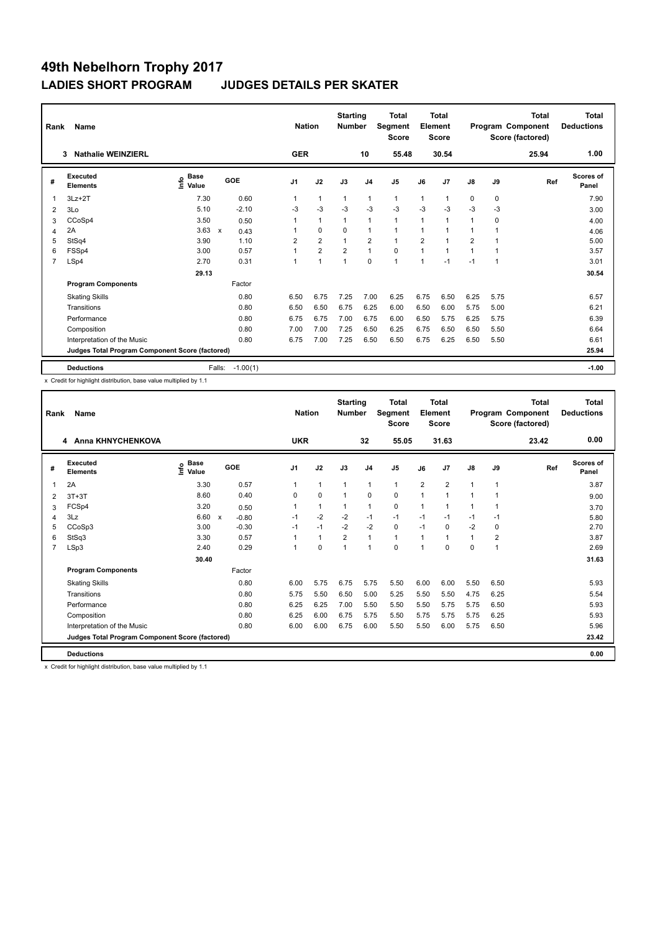| Rank           | Name<br><b>Nathalie WEINZIERL</b><br>3          |                                  |                                   | <b>Nation</b>  |                | <b>Starting</b><br><b>Number</b> |                | Total<br>Segment<br><b>Score</b> |                | <b>Total</b><br>Element<br><b>Score</b> |                |             | <b>Total</b><br>Program Component<br>Score (factored) | <b>Total</b><br><b>Deductions</b> |
|----------------|-------------------------------------------------|----------------------------------|-----------------------------------|----------------|----------------|----------------------------------|----------------|----------------------------------|----------------|-----------------------------------------|----------------|-------------|-------------------------------------------------------|-----------------------------------|
|                |                                                 |                                  |                                   | <b>GER</b>     |                |                                  | 10             | 55.48                            |                | 30.54                                   |                |             | 25.94                                                 | 1.00                              |
| #              | Executed<br><b>Elements</b>                     | <b>Base</b><br>e Base<br>⊆ Value | GOE                               | J <sub>1</sub> | J2             | J3                               | J <sub>4</sub> | J <sub>5</sub>                   | J6             | J7                                      | $\mathsf{J}8$  | J9          | Ref                                                   | <b>Scores of</b><br>Panel         |
| $\overline{1}$ | $3Lz + 2T$                                      | 7.30                             | 0.60                              | 1              | $\mathbf{1}$   | $\mathbf{1}$                     | $\mathbf{1}$   | $\mathbf{1}$                     | 1              | 1                                       | 0              | $\mathbf 0$ |                                                       | 7.90                              |
| 2              | 3Lo                                             | 5.10                             | $-2.10$                           | -3             | $-3$           | $-3$                             | $-3$           | $-3$                             | $-3$           | $-3$                                    | $-3$           | -3          |                                                       | 3.00                              |
| 3              | CCoSp4                                          | 3.50                             | 0.50                              | 1              | $\mathbf{1}$   | $\overline{1}$                   | $\mathbf{1}$   | $\mathbf{1}$                     | $\overline{1}$ | 1                                       | 1              | 0           |                                                       | 4.00                              |
| 4              | 2A                                              | 3.63                             | $\boldsymbol{\mathsf{x}}$<br>0.43 |                | $\mathbf 0$    | $\mathbf 0$                      | 1              | $\mathbf{1}$                     |                |                                         |                |             |                                                       | 4.06                              |
| 5              | StSq4                                           | 3.90                             | 1.10                              | 2              | $\overline{2}$ |                                  | $\overline{2}$ | $\mathbf{1}$                     | $\overline{2}$ |                                         | $\overline{2}$ |             |                                                       | 5.00                              |
| 6              | FSSp4                                           | 3.00                             | 0.57                              | 1              | $\overline{2}$ | $\overline{2}$                   | $\mathbf{1}$   | $\mathbf 0$                      | 1              | 1                                       | 1              |             |                                                       | 3.57                              |
| $\overline{7}$ | LSp4                                            | 2.70                             | 0.31                              | 1              | $\overline{1}$ | 1                                | $\mathbf 0$    | $\mathbf{1}$                     | 1              | $-1$                                    | $-1$           | 1           |                                                       | 3.01                              |
|                |                                                 | 29.13                            |                                   |                |                |                                  |                |                                  |                |                                         |                |             |                                                       | 30.54                             |
|                | <b>Program Components</b>                       |                                  | Factor                            |                |                |                                  |                |                                  |                |                                         |                |             |                                                       |                                   |
|                | <b>Skating Skills</b>                           |                                  | 0.80                              | 6.50           | 6.75           | 7.25                             | 7.00           | 6.25                             | 6.75           | 6.50                                    | 6.25           | 5.75        |                                                       | 6.57                              |
|                | Transitions                                     |                                  | 0.80                              | 6.50           | 6.50           | 6.75                             | 6.25           | 6.00                             | 6.50           | 6.00                                    | 5.75           | 5.00        |                                                       | 6.21                              |
|                | Performance                                     |                                  | 0.80                              | 6.75           | 6.75           | 7.00                             | 6.75           | 6.00                             | 6.50           | 5.75                                    | 6.25           | 5.75        |                                                       | 6.39                              |
|                | Composition                                     |                                  | 0.80                              | 7.00           | 7.00           | 7.25                             | 6.50           | 6.25                             | 6.75           | 6.50                                    | 6.50           | 5.50        |                                                       | 6.64                              |
|                | Interpretation of the Music                     |                                  | 0.80                              | 6.75           | 7.00           | 7.25                             | 6.50           | 6.50                             | 6.75           | 6.25                                    | 6.50           | 5.50        |                                                       | 6.61                              |
|                | Judges Total Program Component Score (factored) |                                  |                                   |                |                |                                  |                |                                  |                |                                         |                |             |                                                       | 25.94                             |
|                | <b>Deductions</b>                               |                                  | $-1.00(1)$<br>Falls:              |                |                |                                  |                |                                  |                |                                         |                |             |                                                       | $-1.00$                           |

x Credit for highlight distribution, base value multiplied by 1.1

| Rank | Name<br><b>Anna KHNYCHENKOVA</b><br>4           |                                  |                                      |            | <b>Nation</b> | <b>Starting</b><br><b>Number</b> |                | Total<br><b>Segment</b><br><b>Score</b> |                | <b>Total</b><br>Element<br><b>Score</b> |               |                | Total<br>Program Component<br>Score (factored) | <b>Total</b><br><b>Deductions</b> |
|------|-------------------------------------------------|----------------------------------|--------------------------------------|------------|---------------|----------------------------------|----------------|-----------------------------------------|----------------|-----------------------------------------|---------------|----------------|------------------------------------------------|-----------------------------------|
|      |                                                 |                                  |                                      | <b>UKR</b> |               |                                  | 32             | 55.05                                   |                | 31.63                                   |               |                | 23.42                                          | 0.00                              |
| #    | <b>Executed</b><br><b>Elements</b>              | <b>Base</b><br>e Base<br>⊆ Value | GOE                                  | J1         | J2            | J3                               | J <sub>4</sub> | J <sub>5</sub>                          | J6             | J <sub>7</sub>                          | $\mathsf{J}8$ | J9             | Ref                                            | <b>Scores of</b><br>Panel         |
|      | 2A                                              | 3.30                             | 0.57                                 | 1          | $\mathbf{1}$  | $\mathbf{1}$                     | $\mathbf{1}$   | $\mathbf{1}$                            | $\overline{2}$ | $\overline{2}$                          | $\mathbf{1}$  | $\overline{1}$ |                                                | 3.87                              |
| 2    | $3T+3T$                                         | 8.60                             | 0.40                                 | $\Omega$   | $\mathbf 0$   | $\mathbf{1}$                     | $\Omega$       | 0                                       | 1              | $\mathbf{1}$                            | 1             | 1              |                                                | 9.00                              |
| 3    | FCSp4                                           | 3.20                             | 0.50                                 | 1          | $\mathbf{1}$  | $\mathbf{1}$                     | $\mathbf{1}$   | 0                                       | 1              | $\mathbf{1}$                            | 1             | $\overline{1}$ |                                                | 3.70                              |
| 4    | 3Lz                                             | 6.60                             | $\boldsymbol{\mathsf{x}}$<br>$-0.80$ | $-1$       | $-2$          | $-2$                             | $-1$           | $-1$                                    | $-1$           | $-1$                                    | $-1$          | -1             |                                                | 5.80                              |
| 5    | CCoSp3                                          | 3.00                             | $-0.30$                              | $-1$       | $-1$          | $-2$                             | $-2$           | 0                                       | $-1$           | $\mathbf 0$                             | $-2$          | 0              |                                                | 2.70                              |
| 6    | StSq3                                           | 3.30                             | 0.57                                 | 1          | $\mathbf{1}$  | $\overline{2}$                   | $\mathbf{1}$   | $\mathbf{1}$                            | 1              | 1                                       | 1             | $\overline{2}$ |                                                | 3.87                              |
| 7    | LSp3                                            | 2.40                             | 0.29                                 | 1          | 0             | $\overline{1}$                   | 1              | $\Omega$                                | 1              | $\Omega$                                | 0             | $\overline{1}$ |                                                | 2.69                              |
|      |                                                 | 30.40                            |                                      |            |               |                                  |                |                                         |                |                                         |               |                |                                                | 31.63                             |
|      | <b>Program Components</b>                       |                                  | Factor                               |            |               |                                  |                |                                         |                |                                         |               |                |                                                |                                   |
|      | <b>Skating Skills</b>                           |                                  | 0.80                                 | 6.00       | 5.75          | 6.75                             | 5.75           | 5.50                                    | 6.00           | 6.00                                    | 5.50          | 6.50           |                                                | 5.93                              |
|      | Transitions                                     |                                  | 0.80                                 | 5.75       | 5.50          | 6.50                             | 5.00           | 5.25                                    | 5.50           | 5.50                                    | 4.75          | 6.25           |                                                | 5.54                              |
|      | Performance                                     |                                  | 0.80                                 | 6.25       | 6.25          | 7.00                             | 5.50           | 5.50                                    | 5.50           | 5.75                                    | 5.75          | 6.50           |                                                | 5.93                              |
|      | Composition                                     |                                  | 0.80                                 | 6.25       | 6.00          | 6.75                             | 5.75           | 5.50                                    | 5.75           | 5.75                                    | 5.75          | 6.25           |                                                | 5.93                              |
|      | Interpretation of the Music                     |                                  | 0.80                                 | 6.00       | 6.00          | 6.75                             | 6.00           | 5.50                                    | 5.50           | 6.00                                    | 5.75          | 6.50           |                                                | 5.96                              |
|      | Judges Total Program Component Score (factored) |                                  |                                      |            |               |                                  |                |                                         |                |                                         |               |                |                                                | 23.42                             |
|      | <b>Deductions</b>                               |                                  |                                      |            |               |                                  |                |                                         |                |                                         |               |                |                                                | 0.00                              |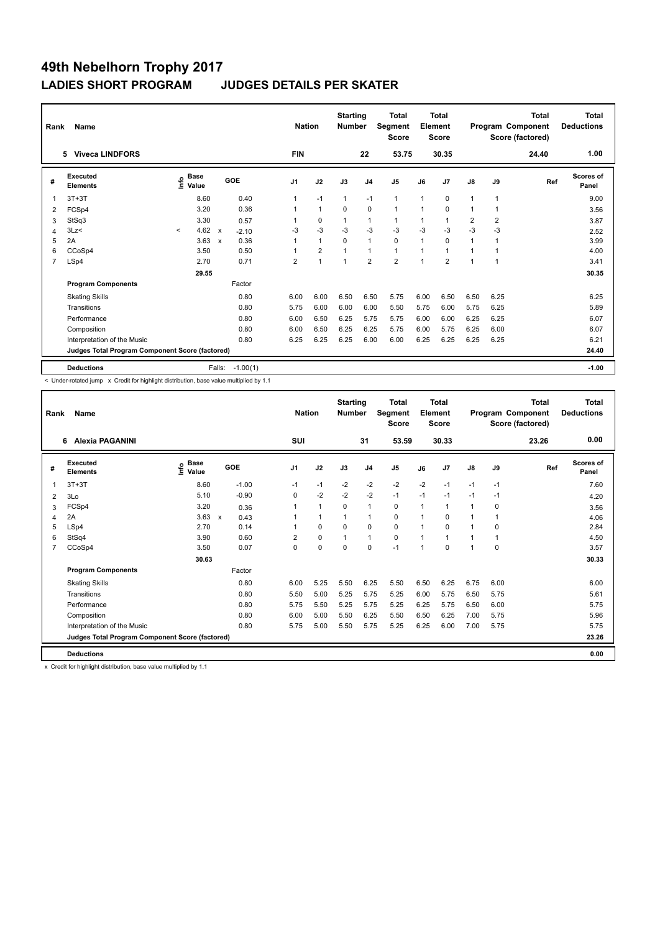| Rank           | Name                                            |         |                                  |                           |            | <b>Nation</b>  |                | <b>Starting</b><br><b>Number</b> |                | Total<br>Segment<br><b>Score</b> |                | <b>Total</b><br>Element<br><b>Score</b> |                |                | <b>Total</b><br>Program Component<br>Score (factored) | <b>Total</b><br><b>Deductions</b> |
|----------------|-------------------------------------------------|---------|----------------------------------|---------------------------|------------|----------------|----------------|----------------------------------|----------------|----------------------------------|----------------|-----------------------------------------|----------------|----------------|-------------------------------------------------------|-----------------------------------|
|                | 5 Viveca LINDFORS                               |         |                                  |                           |            | <b>FIN</b>     |                |                                  | 22             | 53.75                            |                | 30.35                                   |                |                | 24.40                                                 | 1.00                              |
| #              | Executed<br><b>Elements</b>                     |         | <b>Base</b><br>e Base<br>⊆ Value |                           | <b>GOE</b> | J <sub>1</sub> | J2             | J3                               | J <sub>4</sub> | J <sub>5</sub>                   | J6             | J7                                      | $\mathsf{J}8$  | J9             | Ref                                                   | <b>Scores of</b><br>Panel         |
| 1              | $3T+3T$                                         |         | 8.60                             |                           | 0.40       | 1              | $-1$           | $\mathbf{1}$                     | $-1$           | $\mathbf{1}$                     | $\overline{1}$ | 0                                       | 1              | 1              |                                                       | 9.00                              |
| 2              | FCSp4                                           |         | 3.20                             |                           | 0.36       |                | $\mathbf{1}$   | 0                                | $\mathbf 0$    | $\mathbf{1}$                     | 1              | 0                                       | 1              | 1              |                                                       | 3.56                              |
| 3              | StSq3                                           |         | 3.30                             |                           | 0.57       |                | 0              | 1                                | $\mathbf 1$    | $\mathbf{1}$                     | $\mathbf 1$    | 1                                       | $\overline{2}$ | $\overline{2}$ |                                                       | 3.87                              |
| 4              | 3Lz<                                            | $\prec$ | 4.62                             | $\boldsymbol{\mathsf{x}}$ | $-2.10$    | -3             | $-3$           | $-3$                             | $-3$           | $-3$                             | $-3$           | $-3$                                    | $-3$           | $-3$           |                                                       | 2.52                              |
| 5              | 2A                                              |         | 3.63                             | $\boldsymbol{\mathsf{x}}$ | 0.36       | 1              | $\mathbf{1}$   | $\Omega$                         | $\mathbf{1}$   | $\mathbf 0$                      | $\overline{1}$ | $\Omega$                                | $\mathbf 1$    |                |                                                       | 3.99                              |
| 6              | CCoSp4                                          |         | 3.50                             |                           | 0.50       |                | $\overline{2}$ |                                  | $\mathbf{1}$   | $\mathbf{1}$                     | 1              | 1                                       | 1              |                |                                                       | 4.00                              |
| $\overline{7}$ | LSp4                                            |         | 2.70                             |                           | 0.71       | 2              | 1              | 1                                | $\overline{2}$ | $\overline{2}$                   | 1              | $\overline{2}$                          |                | 1              |                                                       | 3.41                              |
|                |                                                 |         | 29.55                            |                           |            |                |                |                                  |                |                                  |                |                                         |                |                |                                                       | 30.35                             |
|                | <b>Program Components</b>                       |         |                                  |                           | Factor     |                |                |                                  |                |                                  |                |                                         |                |                |                                                       |                                   |
|                | <b>Skating Skills</b>                           |         |                                  |                           | 0.80       | 6.00           | 6.00           | 6.50                             | 6.50           | 5.75                             | 6.00           | 6.50                                    | 6.50           | 6.25           |                                                       | 6.25                              |
|                | Transitions                                     |         |                                  |                           | 0.80       | 5.75           | 6.00           | 6.00                             | 6.00           | 5.50                             | 5.75           | 6.00                                    | 5.75           | 6.25           |                                                       | 5.89                              |
|                | Performance                                     |         |                                  |                           | 0.80       | 6.00           | 6.50           | 6.25                             | 5.75           | 5.75                             | 6.00           | 6.00                                    | 6.25           | 6.25           |                                                       | 6.07                              |
|                | Composition                                     |         |                                  |                           | 0.80       | 6.00           | 6.50           | 6.25                             | 6.25           | 5.75                             | 6.00           | 5.75                                    | 6.25           | 6.00           |                                                       | 6.07                              |
|                | Interpretation of the Music                     |         |                                  |                           | 0.80       | 6.25           | 6.25           | 6.25                             | 6.00           | 6.00                             | 6.25           | 6.25                                    | 6.25           | 6.25           |                                                       | 6.21                              |
|                | Judges Total Program Component Score (factored) |         |                                  |                           |            |                |                |                                  |                |                                  |                |                                         |                |                |                                                       | 24.40                             |
|                | <b>Deductions</b>                               |         |                                  | Falls:                    | $-1.00(1)$ |                |                |                                  |                |                                  |                |                                         |                |                |                                                       | $-1.00$                           |

< Under-rotated jump x Credit for highlight distribution, base value multiplied by 1.1

| Rank | Name<br><b>Alexia PAGANINI</b><br>6.            |                                  |                                   | <b>Nation</b> |              | <b>Starting</b><br><b>Number</b> |                | Total<br>Segment<br><b>Score</b> |      | Total<br>Element<br><b>Score</b> |               |                | Total<br>Program Component<br>Score (factored) | <b>Total</b><br><b>Deductions</b> |
|------|-------------------------------------------------|----------------------------------|-----------------------------------|---------------|--------------|----------------------------------|----------------|----------------------------------|------|----------------------------------|---------------|----------------|------------------------------------------------|-----------------------------------|
|      |                                                 |                                  |                                   | SUI           |              |                                  | 31             | 53.59                            |      | 30.33                            |               |                | 23.26                                          | 0.00                              |
| #    | <b>Executed</b><br><b>Elements</b>              | <b>Base</b><br>e Base<br>⊆ Value | GOE                               | J1            | J2           | J3                               | J <sub>4</sub> | J <sub>5</sub>                   | J6   | J <sub>7</sub>                   | $\mathsf{J}8$ | J9             | Ref                                            | <b>Scores of</b><br>Panel         |
|      | $3T+3T$                                         | 8.60                             | $-1.00$                           | $-1$          | $-1$         | $-2$                             | $-2$           | $-2$                             | $-2$ | $-1$                             | $-1$          | $-1$           |                                                | 7.60                              |
| 2    | 3Lo                                             | 5.10                             | $-0.90$                           | 0             | $-2$         | $-2$                             | $-2$           | $-1$                             | $-1$ | $-1$                             | $-1$          | $-1$           |                                                | 4.20                              |
| 3    | FCSp4                                           | 3.20                             | 0.36                              | 1             | $\mathbf{1}$ | $\mathbf 0$                      | $\mathbf{1}$   | 0                                | 1    | $\mathbf{1}$                     | 1             | 0              |                                                | 3.56                              |
| 4    | 2A                                              | 3.63                             | $\boldsymbol{\mathsf{x}}$<br>0.43 | 1             | $\mathbf{1}$ | 1                                | $\mathbf{1}$   | 0                                | 1    | $\Omega$                         | $\mathbf{1}$  | $\mathbf{1}$   |                                                | 4.06                              |
| 5    | LSp4                                            | 2.70                             | 0.14                              |               | 0            | $\Omega$                         | 0              | 0                                | 1    | 0                                | $\mathbf{1}$  | 0              |                                                | 2.84                              |
| 6    | StSq4                                           | 3.90                             | 0.60                              | 2             | $\mathbf 0$  | $\overline{1}$                   | $\mathbf{1}$   | 0                                | 1    | $\overline{1}$                   | 1             | $\overline{1}$ |                                                | 4.50                              |
| 7    | CCoSp4                                          | 3.50                             | 0.07                              | $\Omega$      | 0            | $\Omega$                         | 0              | $-1$                             | 1    | $\Omega$                         | 1             | 0              |                                                | 3.57                              |
|      |                                                 | 30.63                            |                                   |               |              |                                  |                |                                  |      |                                  |               |                |                                                | 30.33                             |
|      | <b>Program Components</b>                       |                                  | Factor                            |               |              |                                  |                |                                  |      |                                  |               |                |                                                |                                   |
|      | <b>Skating Skills</b>                           |                                  | 0.80                              | 6.00          | 5.25         | 5.50                             | 6.25           | 5.50                             | 6.50 | 6.25                             | 6.75          | 6.00           |                                                | 6.00                              |
|      | Transitions                                     |                                  | 0.80                              | 5.50          | 5.00         | 5.25                             | 5.75           | 5.25                             | 6.00 | 5.75                             | 6.50          | 5.75           |                                                | 5.61                              |
|      | Performance                                     |                                  | 0.80                              | 5.75          | 5.50         | 5.25                             | 5.75           | 5.25                             | 6.25 | 5.75                             | 6.50          | 6.00           |                                                | 5.75                              |
|      | Composition                                     |                                  | 0.80                              | 6.00          | 5.00         | 5.50                             | 6.25           | 5.50                             | 6.50 | 6.25                             | 7.00          | 5.75           |                                                | 5.96                              |
|      | Interpretation of the Music                     |                                  | 0.80                              | 5.75          | 5.00         | 5.50                             | 5.75           | 5.25                             | 6.25 | 6.00                             | 7.00          | 5.75           |                                                | 5.75                              |
|      | Judges Total Program Component Score (factored) |                                  |                                   |               |              |                                  |                |                                  |      |                                  |               |                |                                                | 23.26                             |
|      | <b>Deductions</b>                               |                                  |                                   |               |              |                                  |                |                                  |      |                                  |               |                |                                                | 0.00                              |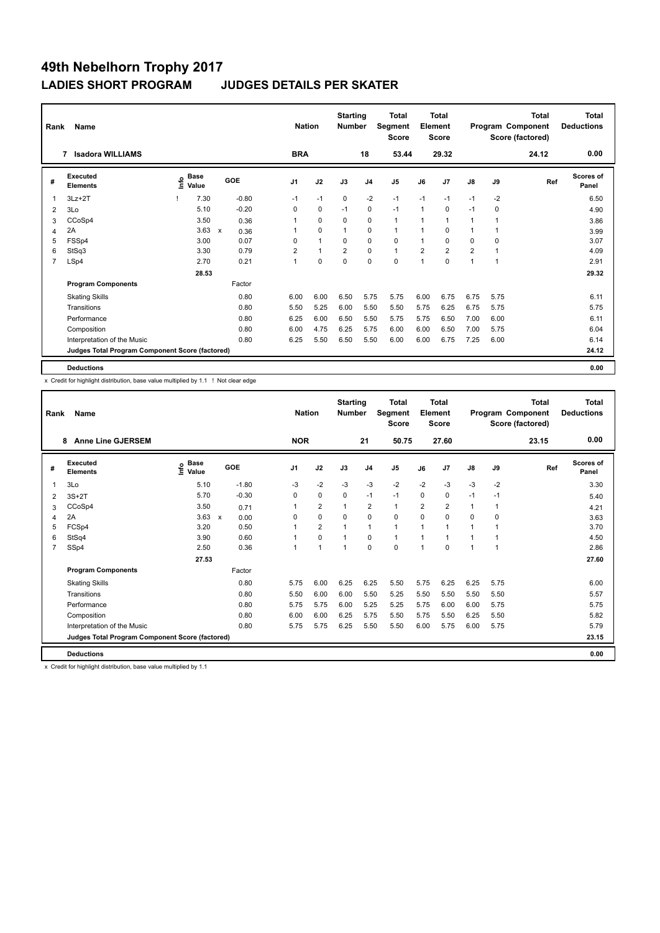| Rank           | <b>Name</b>                                     |                   |             |                                   | <b>Nation</b>  |                | <b>Starting</b><br><b>Number</b> |                | <b>Total</b><br>Segment<br><b>Score</b> |                | <b>Total</b><br>Element<br><b>Score</b> |                |      | <b>Total</b><br>Program Component<br>Score (factored) | Total<br><b>Deductions</b> |
|----------------|-------------------------------------------------|-------------------|-------------|-----------------------------------|----------------|----------------|----------------------------------|----------------|-----------------------------------------|----------------|-----------------------------------------|----------------|------|-------------------------------------------------------|----------------------------|
|                | <b>Isadora WILLIAMS</b><br>7                    |                   |             |                                   | <b>BRA</b>     |                |                                  | 18             | 53.44                                   |                | 29.32                                   |                |      | 24.12                                                 | 0.00                       |
| #              | Executed<br><b>Elements</b>                     | e Base<br>⊆ Value | <b>Base</b> | GOE                               | J <sub>1</sub> | J2             | J3                               | J <sub>4</sub> | J <sub>5</sub>                          | J6             | J7                                      | $\mathsf{J}8$  | J9   | Ref                                                   | <b>Scores of</b><br>Panel  |
| $\overline{1}$ | $3Lz + 2T$                                      |                   | 7.30        | $-0.80$                           | $-1$           | $-1$           | $\mathbf 0$                      | $-2$           | $-1$                                    | $-1$           | $-1$                                    | $-1$           | $-2$ |                                                       | 6.50                       |
| 2              | 3Lo                                             |                   | 5.10        | $-0.20$                           | 0              | 0              | $-1$                             | 0              | $-1$                                    | $\mathbf{1}$   | 0                                       | $-1$           | 0    |                                                       | 4.90                       |
| 3              | CCoSp4                                          |                   | 3.50        | 0.36                              | 1              | $\mathbf 0$    | 0                                | $\mathbf 0$    | $\mathbf{1}$                            | 1              | 1                                       | 1              | 1    |                                                       | 3.86                       |
| 4              | 2A                                              |                   | 3.63        | $\boldsymbol{\mathsf{x}}$<br>0.36 | 1              | $\mathbf 0$    | $\mathbf{1}$                     | $\mathbf 0$    | $\mathbf{1}$                            | 1              | 0                                       | 1              | 1    |                                                       | 3.99                       |
| 5              | FSSp4                                           |                   | 3.00        | 0.07                              | 0              | $\overline{1}$ | 0                                | $\mathbf 0$    | $\mathbf 0$                             | 1              | 0                                       | 0              | 0    |                                                       | 3.07                       |
| 6              | StSq3                                           |                   | 3.30        | 0.79                              | 2              | $\mathbf{1}$   | $\overline{2}$                   | $\mathbf 0$    | $\mathbf{1}$                            | $\overline{2}$ | $\overline{2}$                          | $\overline{2}$ | 1    |                                                       | 4.09                       |
| $\overline{7}$ | LSp4                                            |                   | 2.70        | 0.21                              | $\mathbf{1}$   | $\mathbf 0$    | 0                                | $\mathbf 0$    | $\Omega$                                | $\overline{1}$ | $\Omega$                                | 1              | 1    |                                                       | 2.91                       |
|                |                                                 |                   | 28.53       |                                   |                |                |                                  |                |                                         |                |                                         |                |      |                                                       | 29.32                      |
|                | <b>Program Components</b>                       |                   |             | Factor                            |                |                |                                  |                |                                         |                |                                         |                |      |                                                       |                            |
|                | <b>Skating Skills</b>                           |                   |             | 0.80                              | 6.00           | 6.00           | 6.50                             | 5.75           | 5.75                                    | 6.00           | 6.75                                    | 6.75           | 5.75 |                                                       | 6.11                       |
|                | Transitions                                     |                   |             | 0.80                              | 5.50           | 5.25           | 6.00                             | 5.50           | 5.50                                    | 5.75           | 6.25                                    | 6.75           | 5.75 |                                                       | 5.75                       |
|                | Performance                                     |                   |             | 0.80                              | 6.25           | 6.00           | 6.50                             | 5.50           | 5.75                                    | 5.75           | 6.50                                    | 7.00           | 6.00 |                                                       | 6.11                       |
|                | Composition                                     |                   |             | 0.80                              | 6.00           | 4.75           | 6.25                             | 5.75           | 6.00                                    | 6.00           | 6.50                                    | 7.00           | 5.75 |                                                       | 6.04                       |
|                | Interpretation of the Music                     |                   |             | 0.80                              | 6.25           | 5.50           | 6.50                             | 5.50           | 6.00                                    | 6.00           | 6.75                                    | 7.25           | 6.00 |                                                       | 6.14                       |
|                | Judges Total Program Component Score (factored) |                   |             |                                   |                |                |                                  |                |                                         |                |                                         |                |      |                                                       | 24.12                      |
|                | <b>Deductions</b>                               |                   |             |                                   |                |                |                                  |                |                                         |                |                                         |                |      |                                                       | 0.00                       |

x Credit for highlight distribution, base value multiplied by 1.1 ! Not clear edge

| Rank           | Name                                            | <b>Nation</b>                |                      | <b>Starting</b><br><b>Number</b> |                      | <b>Total</b><br>Segment<br><b>Score</b> |                | <b>Total</b><br>Element<br><b>Score</b> |                |             | <b>Total</b><br>Program Component<br>Score (factored) | <b>Total</b><br><b>Deductions</b> |       |                           |
|----------------|-------------------------------------------------|------------------------------|----------------------|----------------------------------|----------------------|-----------------------------------------|----------------|-----------------------------------------|----------------|-------------|-------------------------------------------------------|-----------------------------------|-------|---------------------------|
|                | <b>Anne Line GJERSEM</b><br>8                   |                              |                      | <b>NOR</b>                       |                      |                                         | 21             | 50.75                                   |                | 27.60       |                                                       |                                   | 23.15 | 0.00                      |
| #              | Executed<br><b>Elements</b>                     | <b>Base</b><br>lnfo<br>Value | GOE                  | J <sub>1</sub>                   | J2                   | J3                                      | J <sub>4</sub> | J <sub>5</sub>                          | J6             | J7          | J8                                                    | J9                                | Ref   | <b>Scores of</b><br>Panel |
| 1              | 3Lo                                             | 5.10                         | $-1.80$              | -3                               | $-2$                 | $-3$                                    | $-3$           | $-2$                                    | $-2$           | $-3$        | $-3$                                                  | $-2$                              |       | 3.30                      |
| 2              | $3S+2T$                                         | 5.70                         | $-0.30$              | $\Omega$                         | $\mathbf 0$          | $\Omega$                                | $-1$           | $-1$                                    | 0              | $\mathbf 0$ | $-1$                                                  | $-1$                              |       | 5.40                      |
| 3              | CCoSp4                                          | 3.50                         | 0.71                 |                                  | $\overline{2}$       | $\mathbf{1}$                            | $\overline{2}$ | $\mathbf{1}$                            | $\overline{2}$ | 2           | $\mathbf{1}$                                          | 1                                 |       | 4.21                      |
| 4              | 2A                                              | 3.63                         | $\mathsf{x}$<br>0.00 | 0                                | $\mathbf 0$          | $\mathbf 0$                             | $\mathbf 0$    | $\mathbf 0$                             | 0              | $\Omega$    | $\Omega$                                              | 0                                 |       | 3.63                      |
| 5              | FCSp4                                           | 3.20                         | 0.50                 |                                  | $\overline{2}$       | $\overline{1}$                          | $\mathbf{1}$   | $\mathbf{1}$                            | 1              | 1           | 1                                                     | $\mathbf{1}$                      |       | 3.70                      |
| 6              | StSq4                                           | 3.90                         | 0.60                 |                                  | $\mathbf 0$          | $\overline{1}$                          | $\mathbf 0$    | $\mathbf{1}$                            | 1              | 1           | 1                                                     | 1                                 |       | 4.50                      |
| $\overline{7}$ | SSp4                                            | 2.50                         | 0.36                 |                                  | $\blacktriangleleft$ | $\overline{1}$                          | $\mathbf 0$    | $\mathbf 0$                             | 1              | $\Omega$    | 1                                                     | 1                                 |       | 2.86                      |
|                |                                                 | 27.53                        |                      |                                  |                      |                                         |                |                                         |                |             |                                                       |                                   |       | 27.60                     |
|                | <b>Program Components</b>                       |                              | Factor               |                                  |                      |                                         |                |                                         |                |             |                                                       |                                   |       |                           |
|                | <b>Skating Skills</b>                           |                              | 0.80                 | 5.75                             | 6.00                 | 6.25                                    | 6.25           | 5.50                                    | 5.75           | 6.25        | 6.25                                                  | 5.75                              |       | 6.00                      |
|                | Transitions                                     |                              | 0.80                 | 5.50                             | 6.00                 | 6.00                                    | 5.50           | 5.25                                    | 5.50           | 5.50        | 5.50                                                  | 5.50                              |       | 5.57                      |
|                | Performance                                     |                              | 0.80                 | 5.75                             | 5.75                 | 6.00                                    | 5.25           | 5.25                                    | 5.75           | 6.00        | 6.00                                                  | 5.75                              |       | 5.75                      |
|                | Composition                                     |                              | 0.80                 | 6.00                             | 6.00                 | 6.25                                    | 5.75           | 5.50                                    | 5.75           | 5.50        | 6.25                                                  | 5.50                              |       | 5.82                      |
|                | Interpretation of the Music                     |                              | 0.80                 | 5.75                             | 5.75                 | 6.25                                    | 5.50           | 5.50                                    | 6.00           | 5.75        | 6.00                                                  | 5.75                              |       | 5.79                      |
|                | Judges Total Program Component Score (factored) |                              |                      |                                  |                      |                                         |                |                                         |                |             |                                                       |                                   |       | 23.15                     |
|                | <b>Deductions</b>                               |                              |                      |                                  |                      |                                         |                |                                         |                |             |                                                       |                                   |       | 0.00                      |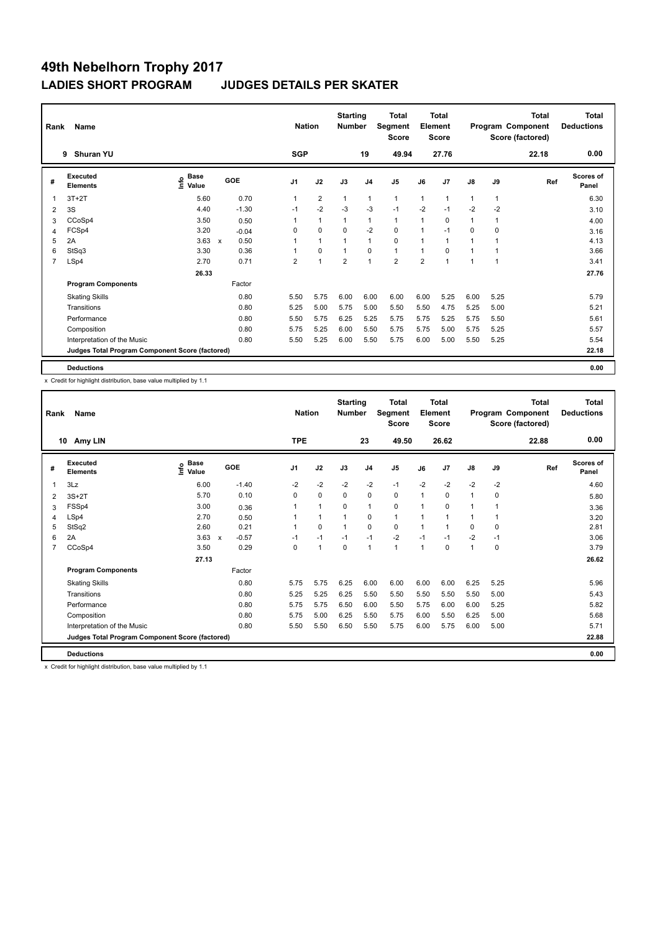| Rank           | Name<br><b>Shuran YU</b><br>9                   |                              |                                   |                | <b>Nation</b>  | <b>Starting</b><br><b>Number</b> |                | <b>Total</b><br>Segment<br><b>Score</b> |                | <b>Total</b><br>Element<br><b>Score</b> |               |                | <b>Total</b><br>Program Component<br>Score (factored) | <b>Total</b><br><b>Deductions</b> |
|----------------|-------------------------------------------------|------------------------------|-----------------------------------|----------------|----------------|----------------------------------|----------------|-----------------------------------------|----------------|-----------------------------------------|---------------|----------------|-------------------------------------------------------|-----------------------------------|
|                |                                                 |                              |                                   | <b>SGP</b>     |                |                                  | 19             | 49.94                                   |                | 27.76                                   |               |                | 22.18                                                 | 0.00                              |
| #              | Executed<br><b>Elements</b>                     | <b>Base</b><br>lnfo<br>Value | GOE                               | J <sub>1</sub> | J2             | J3                               | J <sub>4</sub> | J <sub>5</sub>                          | J6             | J7                                      | $\mathsf{J}8$ | J9             | Ref                                                   | <b>Scores of</b><br>Panel         |
| 1              | $3T+2T$                                         | 5.60                         | 0.70                              | 1              | $\overline{2}$ | $\mathbf{1}$                     | $\mathbf{1}$   | $\mathbf{1}$                            | $\mathbf{1}$   | $\overline{1}$                          | $\mathbf{1}$  | $\overline{1}$ |                                                       | 6.30                              |
| $\overline{2}$ | 3S                                              | 4.40                         | $-1.30$                           | $-1$           | $-2$           | $-3$                             | $-3$           | $-1$                                    | $-2$           | $-1$                                    | $-2$          | $-2$           |                                                       | 3.10                              |
| 3              | CCoSp4                                          | 3.50                         | 0.50                              |                | $\mathbf{1}$   | $\mathbf{1}$                     | $\mathbf{1}$   | $\mathbf{1}$                            | $\mathbf{1}$   | 0                                       | $\mathbf{1}$  | 1              |                                                       | 4.00                              |
| 4              | FCSp4                                           | 3.20                         | $-0.04$                           | 0              | $\mathbf 0$    | $\Omega$                         | $-2$           | $\mathbf 0$                             | $\mathbf{1}$   | $-1$                                    | $\Omega$      | 0              |                                                       | 3.16                              |
| 5              | 2A                                              | 3.63                         | 0.50<br>$\boldsymbol{\mathsf{x}}$ |                | $\overline{1}$ |                                  | $\overline{1}$ | 0                                       | $\mathbf{1}$   |                                         | 1             |                |                                                       | 4.13                              |
| 6              | StSq3                                           | 3.30                         | 0.36                              |                | $\pmb{0}$      | 1                                | $\mathbf 0$    | $\mathbf{1}$                            | 1              | $\Omega$                                | 1             |                |                                                       | 3.66                              |
| $\overline{7}$ | LSp4                                            | 2.70                         | 0.71                              | $\overline{2}$ | $\overline{1}$ | $\overline{2}$                   | $\overline{1}$ | $\overline{2}$                          | $\overline{2}$ | 4                                       | 1             | 1              |                                                       | 3.41                              |
|                |                                                 | 26.33                        |                                   |                |                |                                  |                |                                         |                |                                         |               |                |                                                       | 27.76                             |
|                | <b>Program Components</b>                       |                              | Factor                            |                |                |                                  |                |                                         |                |                                         |               |                |                                                       |                                   |
|                | <b>Skating Skills</b>                           |                              | 0.80                              | 5.50           | 5.75           | 6.00                             | 6.00           | 6.00                                    | 6.00           | 5.25                                    | 6.00          | 5.25           |                                                       | 5.79                              |
|                | Transitions                                     |                              | 0.80                              | 5.25           | 5.00           | 5.75                             | 5.00           | 5.50                                    | 5.50           | 4.75                                    | 5.25          | 5.00           |                                                       | 5.21                              |
|                | Performance                                     |                              | 0.80                              | 5.50           | 5.75           | 6.25                             | 5.25           | 5.75                                    | 5.75           | 5.25                                    | 5.75          | 5.50           |                                                       | 5.61                              |
|                | Composition                                     |                              | 0.80                              | 5.75           | 5.25           | 6.00                             | 5.50           | 5.75                                    | 5.75           | 5.00                                    | 5.75          | 5.25           |                                                       | 5.57                              |
|                | Interpretation of the Music                     |                              | 0.80                              | 5.50           | 5.25           | 6.00                             | 5.50           | 5.75                                    | 6.00           | 5.00                                    | 5.50          | 5.25           |                                                       | 5.54                              |
|                | Judges Total Program Component Score (factored) |                              |                                   |                |                |                                  |                |                                         |                |                                         |               |                |                                                       | 22.18                             |
|                | <b>Deductions</b>                               |                              |                                   |                |                |                                  |                |                                         |                |                                         |               |                |                                                       | 0.00                              |

x Credit for highlight distribution, base value multiplied by 1.1

| Rank           | <b>Name</b>                                     | <b>Nation</b>                |                                      | <b>Starting</b><br><b>Number</b> |              | Total<br>Segment<br><b>Score</b> |                | Total<br>Element<br><b>Score</b> |      |              | Total<br>Program Component<br>Score (factored) | <b>Total</b><br><b>Deductions</b> |       |                           |
|----------------|-------------------------------------------------|------------------------------|--------------------------------------|----------------------------------|--------------|----------------------------------|----------------|----------------------------------|------|--------------|------------------------------------------------|-----------------------------------|-------|---------------------------|
|                | Amy LIN<br>10                                   |                              |                                      | <b>TPE</b>                       |              |                                  | 23             | 49.50                            |      | 26.62        |                                                |                                   | 22.88 | 0.00                      |
| #              | Executed<br><b>Elements</b>                     | <b>Base</b><br>١nf٥<br>Value | GOE                                  | J1                               | J2           | J3                               | J <sub>4</sub> | J5                               | J6   | J7           | J8                                             | J9                                | Ref   | <b>Scores of</b><br>Panel |
| 1              | 3Lz                                             | 6.00                         | $-1.40$                              | $-2$                             | $-2$         | $-2$                             | $-2$           | $-1$                             | $-2$ | $-2$         | $-2$                                           | $-2$                              |       | 4.60                      |
| 2              | $3S+2T$                                         | 5.70                         | 0.10                                 | $\Omega$                         | $\mathbf 0$  | $\Omega$                         | $\mathbf 0$    | 0                                | 1    | $\Omega$     | $\mathbf{1}$                                   | 0                                 |       | 5.80                      |
| 3              | FSSp4                                           | 3.00                         | 0.36                                 | 1                                | $\mathbf{1}$ | $\mathbf 0$                      | $\mathbf{1}$   | 0                                | 1    | $\mathbf 0$  | $\mathbf{1}$                                   | 1                                 |       | 3.36                      |
| 4              | LSp4                                            | 2.70                         | 0.50                                 |                                  | $\mathbf{1}$ | $\mathbf{1}$                     | 0              | $\mathbf{1}$                     | 1    | 1            | 1                                              | 1                                 |       | 3.20                      |
| 5              | StSq2                                           | 2.60                         | 0.21                                 | 1                                | $\mathbf 0$  | $\mathbf{1}$                     | 0              | 0                                | 1    | $\mathbf{1}$ | 0                                              | 0                                 |       | 2.81                      |
| 6              | 2A                                              | 3.63                         | $-0.57$<br>$\boldsymbol{\mathsf{x}}$ | $-1$                             | $-1$         | $-1$                             | $-1$           | $-2$                             | $-1$ | $-1$         | $-2$                                           | $-1$                              |       | 3.06                      |
| $\overline{7}$ | CCoSp4                                          | 3.50                         | 0.29                                 | $\Omega$                         | $\mathbf{1}$ | $\Omega$                         | $\overline{1}$ | $\mathbf{1}$                     | 1    | $\mathbf 0$  | $\mathbf{1}$                                   | 0                                 |       | 3.79                      |
|                |                                                 | 27.13                        |                                      |                                  |              |                                  |                |                                  |      |              |                                                |                                   |       | 26.62                     |
|                | <b>Program Components</b>                       |                              | Factor                               |                                  |              |                                  |                |                                  |      |              |                                                |                                   |       |                           |
|                | <b>Skating Skills</b>                           |                              | 0.80                                 | 5.75                             | 5.75         | 6.25                             | 6.00           | 6.00                             | 6.00 | 6.00         | 6.25                                           | 5.25                              |       | 5.96                      |
|                | Transitions                                     |                              | 0.80                                 | 5.25                             | 5.25         | 6.25                             | 5.50           | 5.50                             | 5.50 | 5.50         | 5.50                                           | 5.00                              |       | 5.43                      |
|                | Performance                                     |                              | 0.80                                 | 5.75                             | 5.75         | 6.50                             | 6.00           | 5.50                             | 5.75 | 6.00         | 6.00                                           | 5.25                              |       | 5.82                      |
|                | Composition                                     |                              | 0.80                                 | 5.75                             | 5.00         | 6.25                             | 5.50           | 5.75                             | 6.00 | 5.50         | 6.25                                           | 5.00                              |       | 5.68                      |
|                | Interpretation of the Music                     |                              | 0.80                                 | 5.50                             | 5.50         | 6.50                             | 5.50           | 5.75                             | 6.00 | 5.75         | 6.00                                           | 5.00                              |       | 5.71                      |
|                | Judges Total Program Component Score (factored) |                              |                                      |                                  |              |                                  |                |                                  |      |              |                                                |                                   |       | 22.88                     |
|                | <b>Deductions</b>                               |                              |                                      |                                  |              |                                  |                |                                  |      |              |                                                |                                   |       | 0.00                      |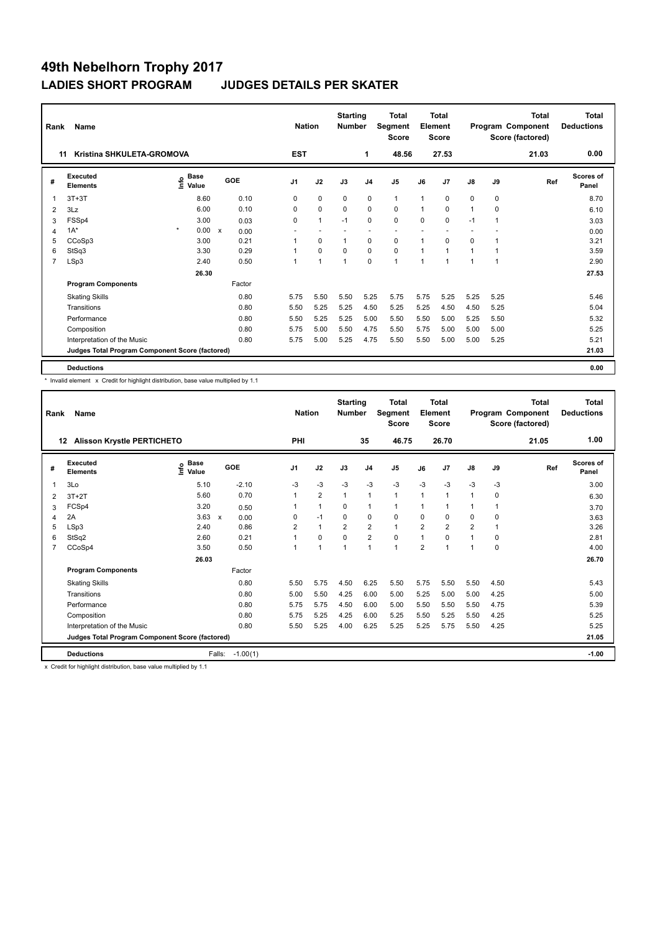| Rank           | Name                                            |                                  |           | <b>Nation</b>  |                | <b>Starting</b><br><b>Number</b> |                | Total<br>Segment<br><b>Score</b> |                | <b>Total</b><br>Element<br><b>Score</b> |               |                | <b>Total</b><br>Program Component<br>Score (factored) | <b>Total</b><br><b>Deductions</b> |
|----------------|-------------------------------------------------|----------------------------------|-----------|----------------|----------------|----------------------------------|----------------|----------------------------------|----------------|-----------------------------------------|---------------|----------------|-------------------------------------------------------|-----------------------------------|
|                | Kristina SHKULETA-GROMOVA<br>11                 |                                  |           | <b>EST</b>     |                |                                  | 1              | 48.56                            |                | 27.53                                   |               |                | 21.03                                                 | 0.00                              |
| #              | Executed<br><b>Elements</b>                     | <b>Base</b><br>e Base<br>⊆ Value | GOE       | J <sub>1</sub> | J2             | J3                               | J <sub>4</sub> | J <sub>5</sub>                   | J6             | J7                                      | $\mathsf{J}8$ | J9             | Ref                                                   | Scores of<br>Panel                |
| $\overline{1}$ | $3T+3T$                                         | 8.60                             | 0.10      | 0              | $\mathbf 0$    | $\mathbf 0$                      | $\mathbf 0$    | $\mathbf{1}$                     | $\mathbf{1}$   | 0                                       | 0             | $\mathbf 0$    |                                                       | 8.70                              |
| 2              | 3Lz                                             | 6.00                             | 0.10      | 0              | $\mathbf 0$    | $\mathbf 0$                      | $\mathbf 0$    | $\mathbf 0$                      | 1              | 0                                       | 1             | 0              |                                                       | 6.10                              |
| 3              | FSSp4                                           | 3.00                             | 0.03      | 0              | $\mathbf{1}$   | $-1$                             | $\mathbf 0$    | $\mathbf 0$                      | $\Omega$       | 0                                       | $-1$          | 1              |                                                       | 3.03                              |
| 4              | $1A^*$                                          | $\star$<br>0.00                  | X<br>0.00 |                |                |                                  |                | $\overline{a}$                   |                |                                         |               |                |                                                       | 0.00                              |
| 5              | CCoSp3                                          | 3.00                             | 0.21      |                | 0              | 1                                | $\mathbf 0$    | 0                                | 1              | 0                                       | 0             |                |                                                       | 3.21                              |
| 6              | StSq3                                           | 3.30                             | 0.29      |                | $\mathbf 0$    | 0                                | $\mathbf 0$    | $\mathbf 0$                      | 1              | 1                                       | 1             |                |                                                       | 3.59                              |
| $\overline{7}$ | LSp3                                            | 2.40                             | 0.50      | 1              | $\overline{1}$ | 1                                | $\mathbf 0$    | $\mathbf{1}$                     | $\overline{1}$ | 1                                       | 1             | $\overline{1}$ |                                                       | 2.90                              |
|                |                                                 | 26.30                            |           |                |                |                                  |                |                                  |                |                                         |               |                |                                                       | 27.53                             |
|                | <b>Program Components</b>                       |                                  | Factor    |                |                |                                  |                |                                  |                |                                         |               |                |                                                       |                                   |
|                | <b>Skating Skills</b>                           |                                  | 0.80      | 5.75           | 5.50           | 5.50                             | 5.25           | 5.75                             | 5.75           | 5.25                                    | 5.25          | 5.25           |                                                       | 5.46                              |
|                | Transitions                                     |                                  | 0.80      | 5.50           | 5.25           | 5.25                             | 4.50           | 5.25                             | 5.25           | 4.50                                    | 4.50          | 5.25           |                                                       | 5.04                              |
|                | Performance                                     |                                  | 0.80      | 5.50           | 5.25           | 5.25                             | 5.00           | 5.50                             | 5.50           | 5.00                                    | 5.25          | 5.50           |                                                       | 5.32                              |
|                | Composition                                     |                                  | 0.80      | 5.75           | 5.00           | 5.50                             | 4.75           | 5.50                             | 5.75           | 5.00                                    | 5.00          | 5.00           |                                                       | 5.25                              |
|                | Interpretation of the Music                     |                                  | 0.80      | 5.75           | 5.00           | 5.25                             | 4.75           | 5.50                             | 5.50           | 5.00                                    | 5.00          | 5.25           |                                                       | 5.21                              |
|                | Judges Total Program Component Score (factored) |                                  |           |                |                |                                  |                |                                  |                |                                         |               |                |                                                       | 21.03                             |
|                | <b>Deductions</b>                               |                                  |           |                |                |                                  |                |                                  |                |                                         |               |                |                                                       | 0.00                              |

\* Invalid element x Credit for highlight distribution, base value multiplied by 1.1

| Rank           | <b>Name</b>                                     |                              | <b>Nation</b> |            | <b>Starting</b><br><b>Number</b> |                | Total<br>Segment<br><b>Score</b> |                | Total<br>Element<br><b>Score</b> |                |                | <b>Total</b><br>Program Component<br>Score (factored) | Total<br><b>Deductions</b> |       |                           |
|----------------|-------------------------------------------------|------------------------------|---------------|------------|----------------------------------|----------------|----------------------------------|----------------|----------------------------------|----------------|----------------|-------------------------------------------------------|----------------------------|-------|---------------------------|
|                | <b>Alisson Krystle PERTICHETO</b><br>12         |                              |               |            | PHI                              |                |                                  | 35             | 46.75                            |                | 26.70          |                                                       |                            | 21.05 | 1.00                      |
| #              | Executed<br><b>Elements</b>                     | <b>Base</b><br>lnfo<br>Value |               | GOE        | J <sub>1</sub>                   | J2             | J3                               | J <sub>4</sub> | J <sub>5</sub>                   | J6             | J7             | $\mathsf{J}8$                                         | J9                         | Ref   | <b>Scores of</b><br>Panel |
| $\overline{1}$ | 3Lo                                             | 5.10                         |               | $-2.10$    | -3                               | $-3$           | $-3$                             | $-3$           | $-3$                             | $-3$           | $-3$           | $-3$                                                  | $-3$                       |       | 3.00                      |
| 2              | $3T+2T$                                         | 5.60                         |               | 0.70       | 1                                | $\overline{2}$ | $\mathbf{1}$                     | $\mathbf{1}$   | $\mathbf{1}$                     | $\mathbf{1}$   | $\overline{1}$ | 1                                                     | 0                          |       | 6.30                      |
| 3              | FCSp4                                           | 3.20                         |               | 0.50       | 1                                | $\mathbf{1}$   | 0                                | $\mathbf{1}$   | $\mathbf{1}$                     | 1              |                | 1                                                     |                            |       | 3.70                      |
| 4              | 2A                                              | 3.63                         | X             | 0.00       | 0                                | $-1$           | $\mathbf 0$                      | $\mathbf 0$    | $\mathbf 0$                      | 0              | 0              | 0                                                     | 0                          |       | 3.63                      |
| 5              | LSp3                                            | 2.40                         |               | 0.86       | $\overline{2}$                   | $\mathbf{1}$   | $\overline{2}$                   | 2              | $\mathbf{1}$                     | $\overline{2}$ | $\overline{2}$ | $\overline{2}$                                        | 1                          |       | 3.26                      |
| 6              | StSq2                                           | 2.60                         |               | 0.21       |                                  | $\Omega$       | $\Omega$                         | 2              | $\mathbf 0$                      |                | $\Omega$       | $\overline{1}$                                        | 0                          |       | 2.81                      |
| $\overline{7}$ | CCoSp4                                          | 3.50                         |               | 0.50       |                                  | 1              | $\overline{1}$                   | $\overline{1}$ | $\blacktriangleleft$             | $\overline{2}$ | 4              | 1                                                     | 0                          |       | 4.00                      |
|                |                                                 | 26.03                        |               |            |                                  |                |                                  |                |                                  |                |                |                                                       |                            |       | 26.70                     |
|                | <b>Program Components</b>                       |                              |               | Factor     |                                  |                |                                  |                |                                  |                |                |                                                       |                            |       |                           |
|                | <b>Skating Skills</b>                           |                              |               | 0.80       | 5.50                             | 5.75           | 4.50                             | 6.25           | 5.50                             | 5.75           | 5.50           | 5.50                                                  | 4.50                       |       | 5.43                      |
|                | Transitions                                     |                              |               | 0.80       | 5.00                             | 5.50           | 4.25                             | 6.00           | 5.00                             | 5.25           | 5.00           | 5.00                                                  | 4.25                       |       | 5.00                      |
|                | Performance                                     |                              |               | 0.80       | 5.75                             | 5.75           | 4.50                             | 6.00           | 5.00                             | 5.50           | 5.50           | 5.50                                                  | 4.75                       |       | 5.39                      |
|                | Composition                                     |                              |               | 0.80       | 5.75                             | 5.25           | 4.25                             | 6.00           | 5.25                             | 5.50           | 5.25           | 5.50                                                  | 4.25                       |       | 5.25                      |
|                | Interpretation of the Music                     |                              |               | 0.80       | 5.50                             | 5.25           | 4.00                             | 6.25           | 5.25                             | 5.25           | 5.75           | 5.50                                                  | 4.25                       |       | 5.25                      |
|                | Judges Total Program Component Score (factored) |                              |               |            |                                  |                |                                  |                |                                  |                |                |                                                       |                            |       | 21.05                     |
|                | <b>Deductions</b>                               |                              | Falls:        | $-1.00(1)$ |                                  |                |                                  |                |                                  |                |                |                                                       |                            |       | $-1.00$                   |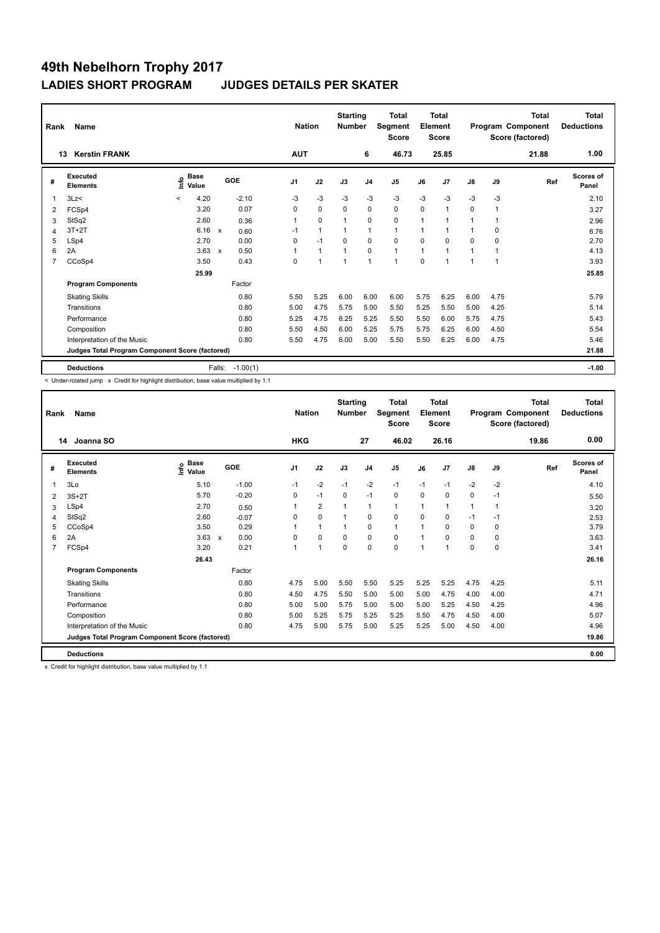| Rank           | Name                                            |         | <b>Nation</b>        |              | <b>Starting</b><br><b>Number</b> |                | Total<br>Segment<br><b>Score</b> |          | <b>Total</b><br>Element<br><b>Score</b> |                |              | <b>Total</b><br>Program Component<br>Score (factored) | <b>Total</b><br><b>Deductions</b> |          |       |                           |
|----------------|-------------------------------------------------|---------|----------------------|--------------|----------------------------------|----------------|----------------------------------|----------|-----------------------------------------|----------------|--------------|-------------------------------------------------------|-----------------------------------|----------|-------|---------------------------|
|                | <b>Kerstin FRANK</b><br>13                      |         |                      |              |                                  | <b>AUT</b>     |                                  |          | 6                                       | 46.73          |              | 25.85                                                 |                                   |          | 21.88 | 1.00                      |
| #              | Executed<br><b>Elements</b>                     | lnfo    | <b>Base</b><br>Value |              | <b>GOE</b>                       | J <sub>1</sub> | J2                               | J3       | J <sub>4</sub>                          | J <sub>5</sub> | J6           | J7                                                    | $\mathsf{J}8$                     | J9       | Ref   | <b>Scores of</b><br>Panel |
| 1              | 3Lz                                             | $\prec$ | 4.20                 |              | $-2.10$                          | $-3$           | $-3$                             | $-3$     | $-3$                                    | $-3$           | $-3$         | $-3$                                                  | $-3$                              | $-3$     |       | 2.10                      |
| 2              | FCSp4                                           |         | 3.20                 |              | 0.07                             | 0              | $\mathbf 0$                      | $\Omega$ | 0                                       | $\mathbf 0$    | $\Omega$     | 1                                                     | 0                                 | 1        |       | 3.27                      |
| 3              | StSq2                                           |         | 2.60                 |              | 0.36                             | 1              | $\mathbf 0$                      | 1        | $\mathbf 0$                             | $\mathbf 0$    | 1            |                                                       | 1                                 | 1        |       | 2.96                      |
| 4              | $3T+2T$                                         |         | 6.16                 | $\mathsf{x}$ | 0.60                             | $-1$           | $\mathbf{1}$                     |          | 1                                       | $\mathbf{1}$   | 1            |                                                       | 1                                 | 0        |       | 6.76                      |
| 5              | LSp4                                            |         | 2.70                 |              | 0.00                             | $\Omega$       | $-1$                             | $\Omega$ | $\Omega$                                | $\Omega$       | $\Omega$     | $\Omega$                                              | $\Omega$                          | $\Omega$ |       | 2.70                      |
| 6              | 2A                                              |         | 3.63                 | $\mathbf x$  | 0.50                             | 1              | $\mathbf{1}$                     |          | $\Omega$                                | $\mathbf{1}$   | $\mathbf{1}$ | $\overline{\mathbf{1}}$                               | $\mathbf 1$                       |          |       | 4.13                      |
| $\overline{7}$ | CCoSp4                                          |         | 3.50                 |              | 0.43                             | 0              | 1                                | 1        | $\overline{1}$                          | $\mathbf{1}$   | $\mathbf 0$  | 1                                                     | 1                                 | 1        |       | 3.93                      |
|                |                                                 |         | 25.99                |              |                                  |                |                                  |          |                                         |                |              |                                                       |                                   |          |       | 25.85                     |
|                | <b>Program Components</b>                       |         |                      |              | Factor                           |                |                                  |          |                                         |                |              |                                                       |                                   |          |       |                           |
|                | <b>Skating Skills</b>                           |         |                      |              | 0.80                             | 5.50           | 5.25                             | 6.00     | 6.00                                    | 6.00           | 5.75         | 6.25                                                  | 6.00                              | 4.75     |       | 5.79                      |
|                | Transitions                                     |         |                      |              | 0.80                             | 5.00           | 4.75                             | 5.75     | 5.00                                    | 5.50           | 5.25         | 5.50                                                  | 5.00                              | 4.25     |       | 5.14                      |
|                | Performance                                     |         |                      |              | 0.80                             | 5.25           | 4.75                             | 6.25     | 5.25                                    | 5.50           | 5.50         | 6.00                                                  | 5.75                              | 4.75     |       | 5.43                      |
|                | Composition                                     |         |                      |              | 0.80                             | 5.50           | 4.50                             | 6.00     | 5.25                                    | 5.75           | 5.75         | 6.25                                                  | 6.00                              | 4.50     |       | 5.54                      |
|                | Interpretation of the Music                     |         |                      |              | 0.80                             | 5.50           | 4.75                             | 6.00     | 5.00                                    | 5.50           | 5.50         | 6.25                                                  | 6.00                              | 4.75     |       | 5.46                      |
|                | Judges Total Program Component Score (factored) |         |                      |              |                                  |                |                                  |          |                                         |                |              |                                                       |                                   |          |       | 21.88                     |
|                | <b>Deductions</b>                               |         |                      | Falls:       | $-1.00(1)$                       |                |                                  |          |                                         |                |              |                                                       |                                   |          |       | $-1.00$                   |

< Under-rotated jump x Credit for highlight distribution, base value multiplied by 1.1

| Rank | Name                                            | <b>Nation</b>                    |                                   | <b>Starting</b><br><b>Number</b> |                | <b>Total</b><br>Segment<br><b>Score</b> |                | Total<br>Element<br><b>Score</b> |                |                | Total<br>Program Component<br>Score (factored) | <b>Total</b><br><b>Deductions</b> |       |                           |
|------|-------------------------------------------------|----------------------------------|-----------------------------------|----------------------------------|----------------|-----------------------------------------|----------------|----------------------------------|----------------|----------------|------------------------------------------------|-----------------------------------|-------|---------------------------|
|      | Joanna SO<br>14                                 |                                  |                                   | <b>HKG</b>                       |                |                                         | 27             | 46.02                            |                | 26.16          |                                                |                                   | 19.86 | 0.00                      |
| #    | <b>Executed</b><br><b>Elements</b>              | <b>Base</b><br>e Base<br>⊆ Value | GOE                               | J1                               | J2             | J3                                      | J <sub>4</sub> | J <sub>5</sub>                   | J6             | J <sub>7</sub> | $\mathsf{J}8$                                  | J9                                | Ref   | <b>Scores of</b><br>Panel |
|      | 3Lo                                             | 5.10                             | $-1.00$                           | $-1$                             | $-2$           | $-1$                                    | $-2$           | $-1$                             | $-1$           | $-1$           | $-2$                                           | $-2$                              |       | 4.10                      |
| 2    | $3S+2T$                                         | 5.70                             | $-0.20$                           | 0                                | $-1$           | $\Omega$                                | $-1$           | 0                                | $\Omega$       | $\Omega$       | 0                                              | $-1$                              |       | 5.50                      |
| 3    | LSp4                                            | 2.70                             | 0.50                              | 1                                | $\overline{2}$ | $\mathbf{1}$                            | $\mathbf{1}$   | $\mathbf{1}$                     | 1              | 1              | 1                                              | $\mathbf{1}$                      |       | 3.20                      |
| 4    | StSq2                                           | 2.60                             | $-0.07$                           | 0                                | $\mathbf 0$    | $\mathbf{1}$                            | 0              | 0                                | 0              | 0              | $-1$                                           | -1                                |       | 2.53                      |
| 5    | CCoSp4                                          | 3.50                             | 0.29                              | 1                                | $\mathbf{1}$   | 1                                       | 0              | $\mathbf{1}$                     | 1              | 0              | 0                                              | 0                                 |       | 3.79                      |
| 6    | 2A                                              | 3.63                             | 0.00<br>$\boldsymbol{\mathsf{x}}$ | $\Omega$                         | 0              | $\Omega$                                | 0              | 0                                | $\overline{1}$ | $\Omega$       | 0                                              | 0                                 |       | 3.63                      |
| 7    | FCSp4                                           | 3.20                             | 0.21                              | 1                                | $\overline{1}$ | $\Omega$                                | 0              | 0                                | 1              | 1              | 0                                              | 0                                 |       | 3.41                      |
|      |                                                 | 26.43                            |                                   |                                  |                |                                         |                |                                  |                |                |                                                |                                   |       | 26.16                     |
|      | <b>Program Components</b>                       |                                  | Factor                            |                                  |                |                                         |                |                                  |                |                |                                                |                                   |       |                           |
|      | <b>Skating Skills</b>                           |                                  | 0.80                              | 4.75                             | 5.00           | 5.50                                    | 5.50           | 5.25                             | 5.25           | 5.25           | 4.75                                           | 4.25                              |       | 5.11                      |
|      | Transitions                                     |                                  | 0.80                              | 4.50                             | 4.75           | 5.50                                    | 5.00           | 5.00                             | 5.00           | 4.75           | 4.00                                           | 4.00                              |       | 4.71                      |
|      | Performance                                     |                                  | 0.80                              | 5.00                             | 5.00           | 5.75                                    | 5.00           | 5.00                             | 5.00           | 5.25           | 4.50                                           | 4.25                              |       | 4.96                      |
|      | Composition                                     |                                  | 0.80                              | 5.00                             | 5.25           | 5.75                                    | 5.25           | 5.25                             | 5.50           | 4.75           | 4.50                                           | 4.00                              |       | 5.07                      |
|      | Interpretation of the Music                     |                                  | 0.80                              | 4.75                             | 5.00           | 5.75                                    | 5.00           | 5.25                             | 5.25           | 5.00           | 4.50                                           | 4.00                              |       | 4.96                      |
|      | Judges Total Program Component Score (factored) |                                  |                                   |                                  |                |                                         |                |                                  |                |                |                                                |                                   |       | 19.86                     |
|      | <b>Deductions</b>                               |                                  |                                   |                                  |                |                                         |                |                                  |                |                |                                                |                                   |       | 0.00                      |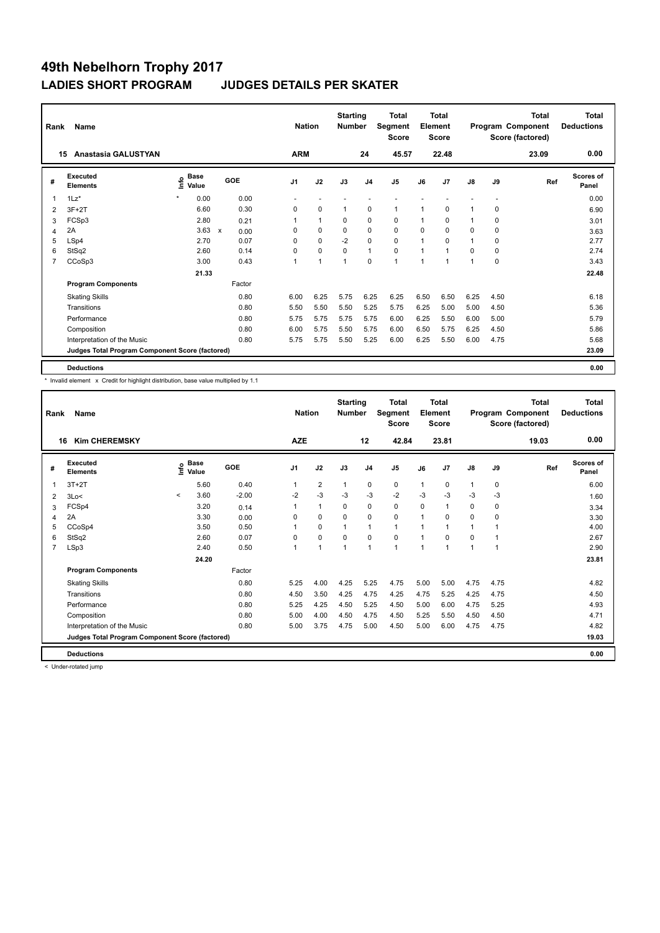| Rank           | <b>Name</b>                                     |                              | <b>Nation</b>                     |                | <b>Starting</b><br><b>Number</b> |             | <b>Total</b><br>Segment<br><b>Score</b> |                | <b>Total</b><br>Element<br><b>Score</b> |       |               | <b>Total</b><br>Program Component<br>Score (factored) | Total<br><b>Deductions</b> |                           |
|----------------|-------------------------------------------------|------------------------------|-----------------------------------|----------------|----------------------------------|-------------|-----------------------------------------|----------------|-----------------------------------------|-------|---------------|-------------------------------------------------------|----------------------------|---------------------------|
|                | Anastasia GALUSTYAN<br>15                       |                              |                                   | <b>ARM</b>     |                                  |             | 24                                      | 45.57          |                                         | 22.48 |               |                                                       | 23.09                      | 0.00                      |
| #              | Executed<br><b>Elements</b>                     | <b>Base</b><br>Info<br>Value | GOE                               | J <sub>1</sub> | J2                               | J3          | J <sub>4</sub>                          | J <sub>5</sub> | J6                                      | J7    | $\mathsf{J}8$ | J9                                                    | Ref                        | <b>Scores of</b><br>Panel |
| $\overline{1}$ | $1\text{Lz}^*$                                  | $\star$<br>0.00              | 0.00                              |                |                                  |             |                                         |                |                                         |       |               |                                                       |                            | 0.00                      |
| 2              | $3F+2T$                                         | 6.60                         | 0.30                              | 0              | $\mathbf 0$                      | 1           | $\mathbf 0$                             | $\mathbf{1}$   | 1                                       | 0     | 1             | 0                                                     |                            | 6.90                      |
| 3              | FCSp3                                           | 2.80                         | 0.21                              | $\mathbf{1}$   | $\mathbf{1}$                     | 0           | $\mathbf 0$                             | 0              | 1                                       | 0     | 1             | 0                                                     |                            | 3.01                      |
| 4              | 2A                                              | 3.63                         | $\boldsymbol{\mathsf{x}}$<br>0.00 | 0              | $\mathbf 0$                      | 0           | $\mathbf 0$                             | $\mathbf 0$    | $\Omega$                                | 0     | 0             | 0                                                     |                            | 3.63                      |
| 5              | LSp4                                            | 2.70                         | 0.07                              | 0              | $\mathbf 0$                      | $-2$        | $\mathbf 0$                             | $\mathbf 0$    | 1                                       | 0     | 1             | 0                                                     |                            | 2.77                      |
| 6              | StSq2                                           | 2.60                         | 0.14                              | $\Omega$       | $\mathbf 0$                      | $\mathbf 0$ | $\mathbf{1}$                            | $\mathbf 0$    | 1                                       | 1     | 0             | 0                                                     |                            | 2.74                      |
| $\overline{7}$ | CCoSp3                                          | 3.00                         | 0.43                              | 1              | $\overline{1}$                   | 1           | $\mathbf 0$                             | $\mathbf{1}$   | $\overline{1}$                          | 1     | 1             | 0                                                     |                            | 3.43                      |
|                |                                                 | 21.33                        |                                   |                |                                  |             |                                         |                |                                         |       |               |                                                       |                            | 22.48                     |
|                | <b>Program Components</b>                       |                              | Factor                            |                |                                  |             |                                         |                |                                         |       |               |                                                       |                            |                           |
|                | <b>Skating Skills</b>                           |                              | 0.80                              | 6.00           | 6.25                             | 5.75        | 6.25                                    | 6.25           | 6.50                                    | 6.50  | 6.25          | 4.50                                                  |                            | 6.18                      |
|                | Transitions                                     |                              | 0.80                              | 5.50           | 5.50                             | 5.50        | 5.25                                    | 5.75           | 6.25                                    | 5.00  | 5.00          | 4.50                                                  |                            | 5.36                      |
|                | Performance                                     |                              | 0.80                              | 5.75           | 5.75                             | 5.75        | 5.75                                    | 6.00           | 6.25                                    | 5.50  | 6.00          | 5.00                                                  |                            | 5.79                      |
|                | Composition                                     |                              | 0.80                              | 6.00           | 5.75                             | 5.50        | 5.75                                    | 6.00           | 6.50                                    | 5.75  | 6.25          | 4.50                                                  |                            | 5.86                      |
|                | Interpretation of the Music                     |                              | 0.80                              | 5.75           | 5.75                             | 5.50        | 5.25                                    | 6.00           | 6.25                                    | 5.50  | 6.00          | 4.75                                                  |                            | 5.68                      |
|                | Judges Total Program Component Score (factored) |                              |                                   |                |                                  |             |                                         |                |                                         |       |               |                                                       |                            | 23.09                     |
|                | <b>Deductions</b>                               |                              |                                   |                |                                  |             |                                         |                |                                         |       |               |                                                       |                            | 0.00                      |

\* Invalid element x Credit for highlight distribution, base value multiplied by 1.1

| Rank           | Name                                            |         |                      |         | <b>Nation</b> |                | <b>Starting</b><br><b>Number</b> |                | <b>Total</b><br>Segment<br><b>Score</b> |              | <b>Total</b><br>Element<br><b>Score</b> |               |              | <b>Total</b><br>Program Component<br>Score (factored) | <b>Total</b><br><b>Deductions</b> |
|----------------|-------------------------------------------------|---------|----------------------|---------|---------------|----------------|----------------------------------|----------------|-----------------------------------------|--------------|-----------------------------------------|---------------|--------------|-------------------------------------------------------|-----------------------------------|
| 16             | <b>Kim CHEREMSKY</b>                            |         |                      |         | <b>AZE</b>    |                |                                  | 12             | 42.84                                   |              | 23.81                                   |               |              | 19.03                                                 | 0.00                              |
| #              | Executed<br><b>Elements</b>                     | ١nf٥    | <b>Base</b><br>Value | GOE     | J1            | J2             | J3                               | J <sub>4</sub> | J <sub>5</sub>                          | J6           | J7                                      | $\mathsf{J}8$ | J9           | Ref                                                   | Scores of<br>Panel                |
| 1              | $3T+2T$                                         |         | 5.60                 | 0.40    | 1             | $\overline{2}$ | $\mathbf{1}$                     | 0              | 0                                       | 1            | $\mathbf 0$                             | 1             | 0            |                                                       | 6.00                              |
| 2              | 3Lo<                                            | $\prec$ | 3.60                 | $-2.00$ | $-2$          | $-3$           | $-3$                             | $-3$           | $-2$                                    | $-3$         | $-3$                                    | $-3$          | $-3$         |                                                       | 1.60                              |
| 3              | FCSp4                                           |         | 3.20                 | 0.14    | 1             | $\mathbf{1}$   | $\Omega$                         | $\mathbf 0$    | 0                                       | $\Omega$     | 1                                       | 0             | 0            |                                                       | 3.34                              |
| 4              | 2A                                              |         | 3.30                 | 0.00    | $\Omega$      | $\Omega$       | $\Omega$                         | $\Omega$       | $\Omega$                                | 1            | $\Omega$                                | 0             | $\Omega$     |                                                       | 3.30                              |
| 5              | CCoSp4                                          |         | 3.50                 | 0.50    | 1             | $\Omega$       | $\mathbf{1}$                     | $\mathbf{1}$   | $\mathbf{1}$                            | 1            | 1                                       | 1             | 1            |                                                       | 4.00                              |
| 6              | StSq2                                           |         | 2.60                 | 0.07    | $\Omega$      | $\Omega$       | $\Omega$                         | $\Omega$       | $\Omega$                                | $\mathbf{1}$ | $\Omega$                                | 0             | $\mathbf{1}$ |                                                       | 2.67                              |
| $\overline{7}$ | LSp3                                            |         | 2.40                 | 0.50    | 1             | $\overline{1}$ | $\mathbf{1}$                     | $\mathbf{1}$   | $\mathbf{1}$                            | 1            | 1                                       | 1             | 1            |                                                       | 2.90                              |
|                |                                                 |         | 24.20                |         |               |                |                                  |                |                                         |              |                                         |               |              |                                                       | 23.81                             |
|                | <b>Program Components</b>                       |         |                      | Factor  |               |                |                                  |                |                                         |              |                                         |               |              |                                                       |                                   |
|                | <b>Skating Skills</b>                           |         |                      | 0.80    | 5.25          | 4.00           | 4.25                             | 5.25           | 4.75                                    | 5.00         | 5.00                                    | 4.75          | 4.75         |                                                       | 4.82                              |
|                | Transitions                                     |         |                      | 0.80    | 4.50          | 3.50           | 4.25                             | 4.75           | 4.25                                    | 4.75         | 5.25                                    | 4.25          | 4.75         |                                                       | 4.50                              |
|                | Performance                                     |         |                      | 0.80    | 5.25          | 4.25           | 4.50                             | 5.25           | 4.50                                    | 5.00         | 6.00                                    | 4.75          | 5.25         |                                                       | 4.93                              |
|                | Composition                                     |         |                      | 0.80    | 5.00          | 4.00           | 4.50                             | 4.75           | 4.50                                    | 5.25         | 5.50                                    | 4.50          | 4.50         |                                                       | 4.71                              |
|                | Interpretation of the Music                     |         |                      | 0.80    | 5.00          | 3.75           | 4.75                             | 5.00           | 4.50                                    | 5.00         | 6.00                                    | 4.75          | 4.75         |                                                       | 4.82                              |
|                | Judges Total Program Component Score (factored) |         |                      |         |               |                |                                  |                |                                         |              |                                         |               |              |                                                       | 19.03                             |
|                | <b>Deductions</b>                               |         |                      |         |               |                |                                  |                |                                         |              |                                         |               |              |                                                       | 0.00                              |

< Under-rotated jump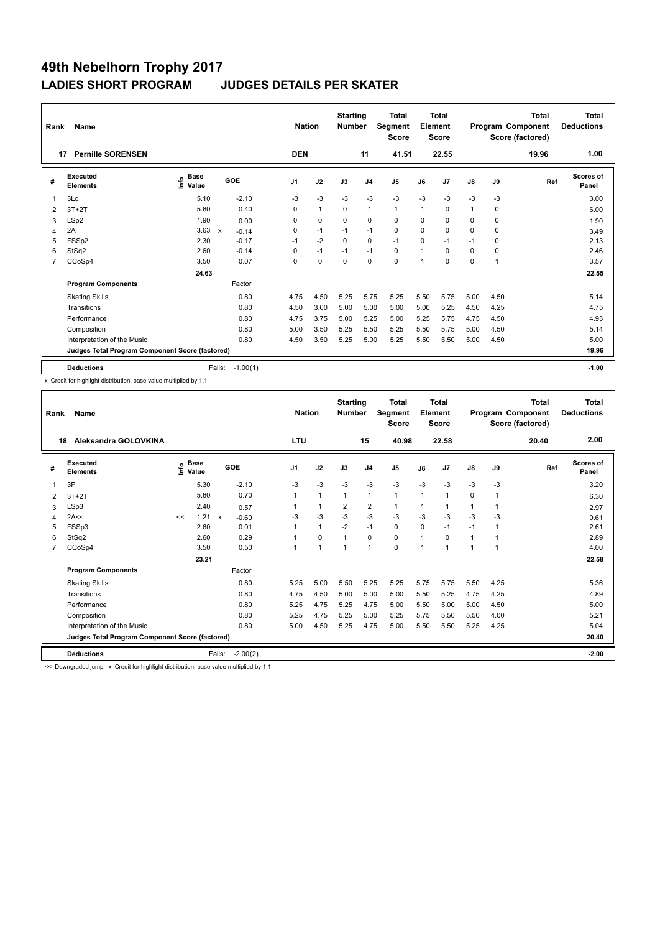| Rank           | Name                                            |                                  |                                      | <b>Nation</b>  |              | <b>Starting</b><br><b>Number</b> |                | Total<br>Segment<br><b>Score</b> |          | <b>Total</b><br>Element<br><b>Score</b> |               |      | <b>Total</b><br>Program Component<br>Score (factored) | <b>Total</b><br><b>Deductions</b> |
|----------------|-------------------------------------------------|----------------------------------|--------------------------------------|----------------|--------------|----------------------------------|----------------|----------------------------------|----------|-----------------------------------------|---------------|------|-------------------------------------------------------|-----------------------------------|
|                | <b>Pernille SORENSEN</b><br>17                  |                                  |                                      | <b>DEN</b>     |              |                                  | 11             | 41.51                            |          | 22.55                                   |               |      | 19.96                                                 | 1.00                              |
| #              | Executed<br><b>Elements</b>                     | <b>Base</b><br>e Base<br>⊆ Value | GOE                                  | J <sub>1</sub> | J2           | J3                               | J <sub>4</sub> | J <sub>5</sub>                   | J6       | J7                                      | $\mathsf{J}8$ | J9   | Ref                                                   | Scores of<br>Panel                |
| $\overline{1}$ | 3Lo                                             | 5.10                             | $-2.10$                              | $-3$           | $-3$         | $-3$                             | $-3$           | $-3$                             | $-3$     | $-3$                                    | $-3$          | $-3$ |                                                       | 3.00                              |
| 2              | $3T+2T$                                         | 5.60                             | 0.40                                 | 0              | $\mathbf{1}$ | 0                                | $\mathbf{1}$   | $\mathbf{1}$                     | 1        | 0                                       | $\mathbf{1}$  | 0    |                                                       | 6.00                              |
| 3              | LSp2                                            | 1.90                             | 0.00                                 | 0              | $\mathbf 0$  | 0                                | $\mathbf 0$    | 0                                | 0        | 0                                       | 0             | 0    |                                                       | 1.90                              |
| 4              | 2A                                              | 3.63                             | $\boldsymbol{\mathsf{x}}$<br>$-0.14$ | 0              | $-1$         | $-1$                             | $-1$           | $\mathbf 0$                      | $\Omega$ | 0                                       | 0             | 0    |                                                       | 3.49                              |
| 5              | FSSp2                                           | 2.30                             | $-0.17$                              | $-1$           | $-2$         | 0                                | $\mathbf 0$    | $-1$                             | 0        | $-1$                                    | $-1$          | 0    |                                                       | 2.13                              |
| 6              | StSq2                                           | 2.60                             | $-0.14$                              | 0              | $-1$         | $-1$                             | $-1$           | 0                                | 1        | $\Omega$                                | 0             | 0    |                                                       | 2.46                              |
| $\overline{7}$ | CCoSp4                                          | 3.50                             | 0.07                                 | 0              | $\mathbf 0$  | $\Omega$                         | $\mathbf 0$    | $\Omega$                         | 1        | $\Omega$                                | $\Omega$      | 1    |                                                       | 3.57                              |
|                |                                                 | 24.63                            |                                      |                |              |                                  |                |                                  |          |                                         |               |      |                                                       | 22.55                             |
|                | <b>Program Components</b>                       |                                  | Factor                               |                |              |                                  |                |                                  |          |                                         |               |      |                                                       |                                   |
|                | <b>Skating Skills</b>                           |                                  | 0.80                                 | 4.75           | 4.50         | 5.25                             | 5.75           | 5.25                             | 5.50     | 5.75                                    | 5.00          | 4.50 |                                                       | 5.14                              |
|                | Transitions                                     |                                  | 0.80                                 | 4.50           | 3.00         | 5.00                             | 5.00           | 5.00                             | 5.00     | 5.25                                    | 4.50          | 4.25 |                                                       | 4.75                              |
|                | Performance                                     |                                  | 0.80                                 | 4.75           | 3.75         | 5.00                             | 5.25           | 5.00                             | 5.25     | 5.75                                    | 4.75          | 4.50 |                                                       | 4.93                              |
|                | Composition                                     |                                  | 0.80                                 | 5.00           | 3.50         | 5.25                             | 5.50           | 5.25                             | 5.50     | 5.75                                    | 5.00          | 4.50 |                                                       | 5.14                              |
|                | Interpretation of the Music                     |                                  | 0.80                                 | 4.50           | 3.50         | 5.25                             | 5.00           | 5.25                             | 5.50     | 5.50                                    | 5.00          | 4.50 |                                                       | 5.00                              |
|                | Judges Total Program Component Score (factored) |                                  |                                      |                |              |                                  |                |                                  |          |                                         |               |      |                                                       | 19.96                             |
|                | <b>Deductions</b>                               |                                  | $-1.00(1)$<br>Falls:                 |                |              |                                  |                |                                  |          |                                         |               |      |                                                       | $-1.00$                           |

x Credit for highlight distribution, base value multiplied by 1.1

| Rank | Name                                            |      | <b>Nation</b>        |              | <b>Starting</b><br><b>Number</b> |                | <b>Total</b><br>Segment<br><b>Score</b> |                | Total<br>Element<br><b>Score</b> |                |                | Total<br>Program Component<br>Score (factored) | <b>Total</b><br><b>Deductions</b> |      |       |                           |
|------|-------------------------------------------------|------|----------------------|--------------|----------------------------------|----------------|-----------------------------------------|----------------|----------------------------------|----------------|----------------|------------------------------------------------|-----------------------------------|------|-------|---------------------------|
| 18   | Aleksandra GOLOVKINA                            |      |                      |              |                                  | <b>LTU</b>     |                                         |                | 15                               | 40.98          |                | 22.58                                          |                                   |      | 20.40 | 2.00                      |
| #    | <b>Executed</b><br><b>Elements</b>              | ١nf٥ | <b>Base</b><br>Value |              | GOE                              | J <sub>1</sub> | J2                                      | J3             | J <sub>4</sub>                   | J <sub>5</sub> | J6             | J7                                             | J8                                | J9   | Ref   | <b>Scores of</b><br>Panel |
| 1    | 3F                                              |      | 5.30                 |              | $-2.10$                          | $-3$           | $-3$                                    | $-3$           | $-3$                             | $-3$           | $-3$           | $-3$                                           | $-3$                              | $-3$ |       | 3.20                      |
| 2    | $3T+2T$                                         |      | 5.60                 |              | 0.70                             | 1              | 1                                       | $\mathbf{1}$   | $\mathbf{1}$                     | 1              | $\overline{1}$ | $\overline{1}$                                 | $\Omega$                          | 1    |       | 6.30                      |
| 3    | LSp3                                            |      | 2.40                 |              | 0.57                             |                | $\mathbf{1}$                            | $\overline{2}$ | $\overline{2}$                   | 1              | $\overline{1}$ | $\overline{1}$                                 | $\overline{1}$                    | 1    |       | 2.97                      |
| 4    | 2A<<                                            | <<   | 1.21                 | $\mathsf{x}$ | $-0.60$                          | $-3$           | $-3$                                    | $-3$           | $-3$                             | $-3$           | $-3$           | $-3$                                           | $-3$                              | $-3$ |       | 0.61                      |
| 5    | FSSp3                                           |      | 2.60                 |              | 0.01                             |                | $\mathbf{1}$                            | $-2$           | $-1$                             | 0              | 0              | $-1$                                           | $-1$                              | -1   |       | 2.61                      |
| 6    | StSq2                                           |      | 2.60                 |              | 0.29                             |                | $\Omega$                                | $\overline{1}$ | $\Omega$                         | 0              |                | $\Omega$                                       |                                   |      |       | 2.89                      |
| 7    | CCoSp4                                          |      | 3.50                 |              | 0.50                             | 1              | 1                                       | 1              | $\overline{1}$                   | 0              | $\overline{1}$ | $\overline{1}$                                 | 4                                 | 1    |       | 4.00                      |
|      |                                                 |      | 23.21                |              |                                  |                |                                         |                |                                  |                |                |                                                |                                   |      |       | 22.58                     |
|      | <b>Program Components</b>                       |      |                      |              | Factor                           |                |                                         |                |                                  |                |                |                                                |                                   |      |       |                           |
|      | <b>Skating Skills</b>                           |      |                      |              | 0.80                             | 5.25           | 5.00                                    | 5.50           | 5.25                             | 5.25           | 5.75           | 5.75                                           | 5.50                              | 4.25 |       | 5.36                      |
|      | Transitions                                     |      |                      |              | 0.80                             | 4.75           | 4.50                                    | 5.00           | 5.00                             | 5.00           | 5.50           | 5.25                                           | 4.75                              | 4.25 |       | 4.89                      |
|      | Performance                                     |      |                      |              | 0.80                             | 5.25           | 4.75                                    | 5.25           | 4.75                             | 5.00           | 5.50           | 5.00                                           | 5.00                              | 4.50 |       | 5.00                      |
|      | Composition                                     |      |                      |              | 0.80                             | 5.25           | 4.75                                    | 5.25           | 5.00                             | 5.25           | 5.75           | 5.50                                           | 5.50                              | 4.00 |       | 5.21                      |
|      | Interpretation of the Music                     |      |                      |              | 0.80                             | 5.00           | 4.50                                    | 5.25           | 4.75                             | 5.00           | 5.50           | 5.50                                           | 5.25                              | 4.25 |       | 5.04                      |
|      | Judges Total Program Component Score (factored) |      |                      |              |                                  |                |                                         |                |                                  |                |                |                                                |                                   |      |       | 20.40                     |
|      | <b>Deductions</b>                               |      |                      | Falls:       | $-2.00(2)$                       |                |                                         |                |                                  |                |                |                                                |                                   |      |       | $-2.00$                   |

<< Downgraded jump x Credit for highlight distribution, base value multiplied by 1.1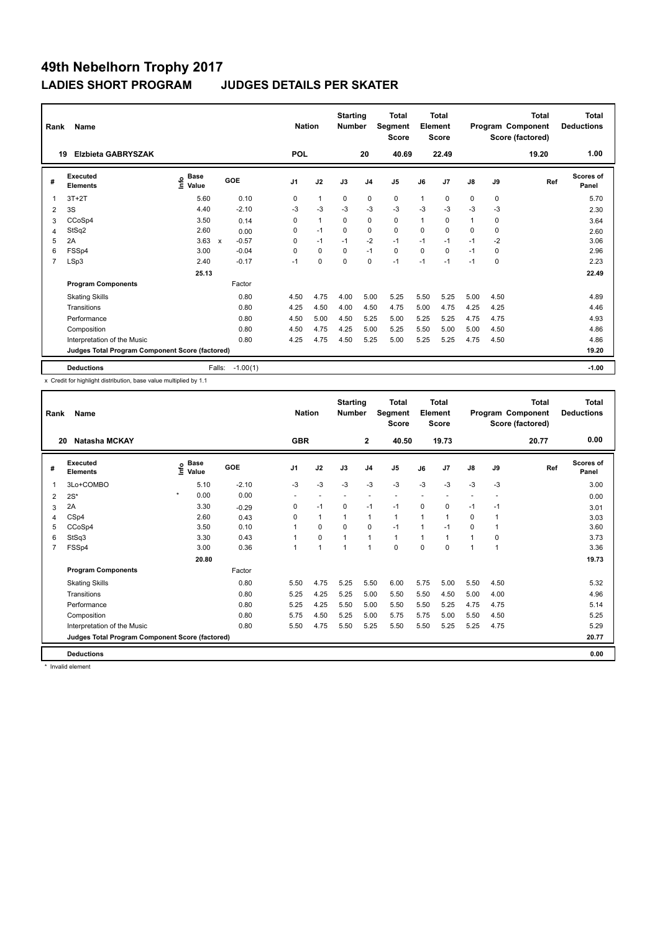| Rank           | Name                                            |                                  | <b>Nation</b>                        | <b>Starting</b><br><b>Number</b> |              | Total<br>Segment<br><b>Score</b> |                | <b>Total</b><br>Element<br><b>Score</b> |              |       | <b>Total</b><br>Program Component<br>Score (factored) | <b>Total</b><br><b>Deductions</b> |       |                    |
|----------------|-------------------------------------------------|----------------------------------|--------------------------------------|----------------------------------|--------------|----------------------------------|----------------|-----------------------------------------|--------------|-------|-------------------------------------------------------|-----------------------------------|-------|--------------------|
|                | <b>Elzbieta GABRYSZAK</b><br>19                 |                                  |                                      | <b>POL</b>                       |              |                                  | 20             | 40.69                                   |              | 22.49 |                                                       |                                   | 19.20 | 1.00               |
| #              | Executed<br><b>Elements</b>                     | <b>Base</b><br>e Base<br>⊆ Value | GOE                                  | J <sub>1</sub>                   | J2           | J3                               | J <sub>4</sub> | J <sub>5</sub>                          | J6           | J7    | $\mathsf{J}8$                                         | J9                                | Ref   | Scores of<br>Panel |
| $\overline{1}$ | $3T+2T$                                         | 5.60                             | 0.10                                 | 0                                | $\mathbf{1}$ | $\mathbf 0$                      | $\mathbf 0$    | $\mathbf 0$                             | $\mathbf 1$  | 0     | 0                                                     | $\mathbf 0$                       |       | 5.70               |
| 2              | 3S                                              | 4.40                             | $-2.10$                              | -3                               | $-3$         | $-3$                             | $-3$           | $-3$                                    | $-3$         | $-3$  | $-3$                                                  | -3                                |       | 2.30               |
| 3              | CCoSp4                                          | 3.50                             | 0.14                                 | 0                                | $\mathbf{1}$ | 0                                | $\mathbf 0$    | 0                                       | $\mathbf{1}$ | 0     | $\mathbf{1}$                                          | 0                                 |       | 3.64               |
| 4              | StSq2                                           | 2.60                             | 0.00                                 | 0                                | $-1$         | 0                                | $\mathbf 0$    | $\mathbf 0$                             | $\Omega$     | 0     | 0                                                     | 0                                 |       | 2.60               |
| 5              | 2A                                              | 3.63                             | $-0.57$<br>$\boldsymbol{\mathsf{x}}$ | 0                                | $-1$         | $-1$                             | $-2$           | $-1$                                    | $-1$         | $-1$  | $-1$                                                  | $-2$                              |       | 3.06               |
| 6              | FSSp4                                           | 3.00                             | $-0.04$                              | $\Omega$                         | 0            | 0                                | $-1$           | 0                                       | 0            | 0     | $-1$                                                  | 0                                 |       | 2.96               |
| $\overline{7}$ | LSp3                                            | 2.40                             | $-0.17$                              | $-1$                             | $\mathbf 0$  | $\Omega$                         | $\mathbf 0$    | $-1$                                    | $-1$         | $-1$  | $-1$                                                  | 0                                 |       | 2.23               |
|                |                                                 | 25.13                            |                                      |                                  |              |                                  |                |                                         |              |       |                                                       |                                   |       | 22.49              |
|                | <b>Program Components</b>                       |                                  | Factor                               |                                  |              |                                  |                |                                         |              |       |                                                       |                                   |       |                    |
|                | <b>Skating Skills</b>                           |                                  | 0.80                                 | 4.50                             | 4.75         | 4.00                             | 5.00           | 5.25                                    | 5.50         | 5.25  | 5.00                                                  | 4.50                              |       | 4.89               |
|                | Transitions                                     |                                  | 0.80                                 | 4.25                             | 4.50         | 4.00                             | 4.50           | 4.75                                    | 5.00         | 4.75  | 4.25                                                  | 4.25                              |       | 4.46               |
|                | Performance                                     |                                  | 0.80                                 | 4.50                             | 5.00         | 4.50                             | 5.25           | 5.00                                    | 5.25         | 5.25  | 4.75                                                  | 4.75                              |       | 4.93               |
|                | Composition                                     |                                  | 0.80                                 | 4.50                             | 4.75         | 4.25                             | 5.00           | 5.25                                    | 5.50         | 5.00  | 5.00                                                  | 4.50                              |       | 4.86               |
|                | Interpretation of the Music                     |                                  | 0.80                                 | 4.25                             | 4.75         | 4.50                             | 5.25           | 5.00                                    | 5.25         | 5.25  | 4.75                                                  | 4.50                              |       | 4.86               |
|                | Judges Total Program Component Score (factored) |                                  |                                      |                                  |              |                                  |                |                                         |              |       |                                                       |                                   |       | 19.20              |
|                | <b>Deductions</b>                               |                                  | $-1.00(1)$<br>Falls:                 |                                  |              |                                  |                |                                         |              |       |                                                       |                                   |       | $-1.00$            |

x Credit for highlight distribution, base value multiplied by 1.1

| Rank | Name                                            |         |                                  | <b>Nation</b> |                | <b>Starting</b><br><b>Number</b> |                | <b>Total</b><br>Segment<br><b>Score</b> |              | <b>Total</b><br>Element<br><b>Score</b> |                |                | <b>Total</b><br>Program Component<br>Score (factored) | <b>Total</b><br><b>Deductions</b> |                           |
|------|-------------------------------------------------|---------|----------------------------------|---------------|----------------|----------------------------------|----------------|-----------------------------------------|--------------|-----------------------------------------|----------------|----------------|-------------------------------------------------------|-----------------------------------|---------------------------|
| 20   | Natasha MCKAY                                   |         |                                  |               | <b>GBR</b>     |                                  |                | $\mathbf{2}$                            | 40.50        |                                         | 19.73          |                |                                                       | 20.77                             | 0.00                      |
| #    | Executed<br><b>Elements</b>                     |         | <b>Base</b><br>e Base<br>⊆ Value | GOE           | J1             | J2                               | J3             | J <sub>4</sub>                          | J5           | J6                                      | J <sub>7</sub> | $\mathsf{J}8$  | J9                                                    | Ref                               | <b>Scores of</b><br>Panel |
|      | 3Lo+COMBO                                       |         | 5.10                             | $-2.10$       | $-3$           | $-3$                             | $-3$           | $-3$                                    | $-3$         | $-3$                                    | $-3$           | $-3$           | $-3$                                                  |                                   | 3.00                      |
| 2    | $2S^*$                                          | $\star$ | 0.00                             | 0.00          | $\sim$         | $\overline{\phantom{a}}$         | $\overline{a}$ |                                         |              | $\overline{\phantom{a}}$                |                | $\overline{a}$ |                                                       |                                   | 0.00                      |
| 3    | 2A                                              |         | 3.30                             | $-0.29$       | 0              | $-1$                             | $\Omega$       | $-1$                                    | $-1$         | $\mathbf 0$                             | 0              | $-1$           | $-1$                                                  |                                   | 3.01                      |
| 4    | CSp4                                            |         | 2.60                             | 0.43          | 0              | $\mathbf{1}$                     | $\mathbf{1}$   | $\mathbf{1}$                            | 1            | 1                                       | 1              | 0              | $\mathbf{1}$                                          |                                   | 3.03                      |
| 5    | CCoSp4                                          |         | 3.50                             | 0.10          | 1              | 0                                | $\Omega$       | 0                                       | $-1$         | 1                                       | $-1$           | 0              | $\mathbf 1$                                           |                                   | 3.60                      |
| 6    | StSq3                                           |         | 3.30                             | 0.43          | 1              | $\Omega$                         | $\overline{1}$ | $\mathbf{1}$                            | $\mathbf{1}$ | 1                                       | 1              | 1              | $\Omega$                                              |                                   | 3.73                      |
| 7    | FSSp4                                           |         | 3.00                             | 0.36          | $\overline{ }$ | $\mathbf{1}$                     | $\overline{1}$ | $\overline{1}$                          | $\Omega$     | $\Omega$                                | $\Omega$       | 1              | 1                                                     |                                   | 3.36                      |
|      |                                                 |         | 20.80                            |               |                |                                  |                |                                         |              |                                         |                |                |                                                       |                                   | 19.73                     |
|      | <b>Program Components</b>                       |         |                                  | Factor        |                |                                  |                |                                         |              |                                         |                |                |                                                       |                                   |                           |
|      | <b>Skating Skills</b>                           |         |                                  | 0.80          | 5.50           | 4.75                             | 5.25           | 5.50                                    | 6.00         | 5.75                                    | 5.00           | 5.50           | 4.50                                                  |                                   | 5.32                      |
|      | Transitions                                     |         |                                  | 0.80          | 5.25           | 4.25                             | 5.25           | 5.00                                    | 5.50         | 5.50                                    | 4.50           | 5.00           | 4.00                                                  |                                   | 4.96                      |
|      | Performance                                     |         |                                  | 0.80          | 5.25           | 4.25                             | 5.50           | 5.00                                    | 5.50         | 5.50                                    | 5.25           | 4.75           | 4.75                                                  |                                   | 5.14                      |
|      | Composition                                     |         |                                  | 0.80          | 5.75           | 4.50                             | 5.25           | 5.00                                    | 5.75         | 5.75                                    | 5.00           | 5.50           | 4.50                                                  |                                   | 5.25                      |
|      | Interpretation of the Music                     |         |                                  | 0.80          | 5.50           | 4.75                             | 5.50           | 5.25                                    | 5.50         | 5.50                                    | 5.25           | 5.25           | 4.75                                                  |                                   | 5.29                      |
|      | Judges Total Program Component Score (factored) |         |                                  |               |                |                                  |                |                                         |              |                                         |                |                |                                                       |                                   | 20.77                     |
|      | <b>Deductions</b>                               |         |                                  |               |                |                                  |                |                                         |              |                                         |                |                |                                                       |                                   | 0.00                      |

\* Invalid element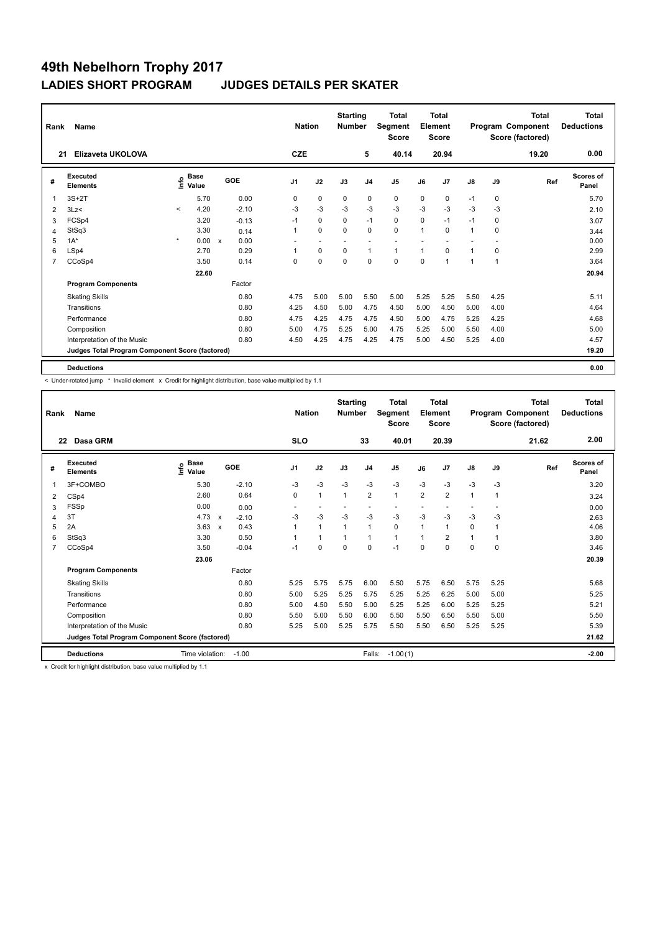| Rank           | Name                                            |              |                      |                           |         |                | <b>Nation</b>            | <b>Starting</b><br><b>Number</b> |                | <b>Total</b><br>Segment<br><b>Score</b> |              | <b>Total</b><br>Element<br><b>Score</b> |               |      | <b>Total</b><br>Program Component<br>Score (factored) | <b>Total</b><br><b>Deductions</b> |
|----------------|-------------------------------------------------|--------------|----------------------|---------------------------|---------|----------------|--------------------------|----------------------------------|----------------|-----------------------------------------|--------------|-----------------------------------------|---------------|------|-------------------------------------------------------|-----------------------------------|
| 21             | Elizaveta UKOLOVA                               |              |                      |                           |         | <b>CZE</b>     |                          |                                  | 5              | 40.14                                   |              | 20.94                                   |               |      | 19.20                                                 | 0.00                              |
| #              | Executed<br><b>Elements</b>                     | Info         | <b>Base</b><br>Value |                           | GOE     | J <sub>1</sub> | J2                       | J3                               | J <sub>4</sub> | J <sub>5</sub>                          | J6           | J7                                      | $\mathsf{J}8$ | J9   | Ref                                                   | Scores of<br>Panel                |
| 1              | $3S+2T$                                         |              | 5.70                 |                           | 0.00    | 0              | $\mathbf 0$              | 0                                | 0              | $\mathbf 0$                             | $\Omega$     | 0                                       | $-1$          | 0    |                                                       | 5.70                              |
| 2              | 3Lz<                                            | $\prec$      | 4.20                 |                           | $-2.10$ | $-3$           | $-3$                     | $-3$                             | $-3$           | $-3$                                    | $-3$         | $-3$                                    | $-3$          | $-3$ |                                                       | 2.10                              |
| 3              | FCSp4                                           |              | 3.20                 |                           | $-0.13$ | $-1$           | $\mathbf 0$              | 0                                | $-1$           | $\mathbf 0$                             | 0            | $-1$                                    | $-1$          | 0    |                                                       | 3.07                              |
| 4              | StSq3                                           |              | 3.30                 |                           | 0.14    | 1              | $\mathbf 0$              | $\Omega$                         | $\mathbf 0$    | $\mathbf 0$                             | $\mathbf{1}$ | $\Omega$                                | $\mathbf{1}$  | 0    |                                                       | 3.44                              |
| 5              | $1A^*$                                          | $\pmb{\ast}$ | 0.00                 | $\boldsymbol{\mathsf{x}}$ | 0.00    | ۰              | $\overline{\phantom{a}}$ |                                  |                | $\overline{\phantom{a}}$                |              |                                         |               |      |                                                       | 0.00                              |
| 6              | LSp4                                            |              | 2.70                 |                           | 0.29    |                | 0                        | 0                                | $\mathbf{1}$   | $\mathbf{1}$                            | 1            | $\Omega$                                | 1             | 0    |                                                       | 2.99                              |
| $\overline{7}$ | CCoSp4                                          |              | 3.50                 |                           | 0.14    | 0              | $\mathbf 0$              | $\mathbf 0$                      | $\mathbf 0$    | 0                                       | $\mathbf 0$  | 1                                       | 1             | 1    |                                                       | 3.64                              |
|                |                                                 |              | 22.60                |                           |         |                |                          |                                  |                |                                         |              |                                         |               |      |                                                       | 20.94                             |
|                | <b>Program Components</b>                       |              |                      |                           | Factor  |                |                          |                                  |                |                                         |              |                                         |               |      |                                                       |                                   |
|                | <b>Skating Skills</b>                           |              |                      |                           | 0.80    | 4.75           | 5.00                     | 5.00                             | 5.50           | 5.00                                    | 5.25         | 5.25                                    | 5.50          | 4.25 |                                                       | 5.11                              |
|                | Transitions                                     |              |                      |                           | 0.80    | 4.25           | 4.50                     | 5.00                             | 4.75           | 4.50                                    | 5.00         | 4.50                                    | 5.00          | 4.00 |                                                       | 4.64                              |
|                | Performance                                     |              |                      |                           | 0.80    | 4.75           | 4.25                     | 4.75                             | 4.75           | 4.50                                    | 5.00         | 4.75                                    | 5.25          | 4.25 |                                                       | 4.68                              |
|                | Composition                                     |              |                      |                           | 0.80    | 5.00           | 4.75                     | 5.25                             | 5.00           | 4.75                                    | 5.25         | 5.00                                    | 5.50          | 4.00 |                                                       | 5.00                              |
|                | Interpretation of the Music                     |              |                      |                           | 0.80    | 4.50           | 4.25                     | 4.75                             | 4.25           | 4.75                                    | 5.00         | 4.50                                    | 5.25          | 4.00 |                                                       | 4.57                              |
|                | Judges Total Program Component Score (factored) |              |                      |                           |         |                |                          |                                  |                |                                         |              |                                         |               |      |                                                       | 19.20                             |
|                | <b>Deductions</b>                               |              |                      |                           |         |                |                          |                                  |                |                                         |              |                                         |               |      |                                                       | 0.00                              |

ı

< Under-rotated jump \* Invalid element x Credit for highlight distribution, base value multiplied by 1.1

| Rank<br>22     | <b>Name</b><br>Dasa GRM                         |                              |                           |         | <b>Nation</b><br><b>SLO</b> |                          | <b>Starting</b><br><b>Number</b> | 33             | Total<br>Segment<br><b>Score</b><br>40.01 |                | <b>Total</b><br>Element<br>Score<br>20.39 |                |      | <b>Total</b><br>Program Component<br>Score (factored)<br>21.62 | Total<br><b>Deductions</b><br>2.00 |
|----------------|-------------------------------------------------|------------------------------|---------------------------|---------|-----------------------------|--------------------------|----------------------------------|----------------|-------------------------------------------|----------------|-------------------------------------------|----------------|------|----------------------------------------------------------------|------------------------------------|
| #              | Executed<br><b>Elements</b>                     | <b>Base</b><br>lnfo<br>Value |                           | GOE     | J <sub>1</sub>              | J2                       | J3                               | J <sub>4</sub> | J <sub>5</sub>                            | J6             | J7                                        | $\mathsf{J}8$  | J9   | Ref                                                            | Scores of<br>Panel                 |
| $\overline{1}$ | 3F+COMBO                                        | 5.30                         |                           | $-2.10$ | $-3$                        | $-3$                     | $-3$                             | $-3$           | $-3$                                      | $-3$           | $-3$                                      | $-3$           | $-3$ |                                                                | 3.20                               |
| 2              | CSp4                                            | 2.60                         |                           | 0.64    | $\Omega$                    | $\mathbf{1}$             | $\mathbf{1}$                     | $\overline{2}$ | $\mathbf{1}$                              | $\overline{2}$ | $\overline{2}$                            | $\overline{1}$ | 1    |                                                                | 3.24                               |
| 3              | FSSp                                            | 0.00                         |                           | 0.00    | ٠                           | $\overline{\phantom{a}}$ |                                  | ۰              |                                           |                |                                           |                |      |                                                                | 0.00                               |
| 4              | 3T                                              | 4.73                         | $\boldsymbol{\mathsf{x}}$ | $-2.10$ | $-3$                        | $-3$                     | $-3$                             | $-3$           | $-3$                                      | $-3$           | $-3$                                      | $-3$           | $-3$ |                                                                | 2.63                               |
| 5              | 2A                                              | 3.63                         | X                         | 0.43    | 1                           | $\mathbf{1}$             | $\overline{1}$                   | $\overline{1}$ | $\mathbf 0$                               | 1              | 1                                         | 0              |      |                                                                | 4.06                               |
| 6              | StSq3                                           | 3.30                         |                           | 0.50    | 1                           | $\mathbf{1}$             | $\mathbf{1}$                     | $\overline{1}$ | $\mathbf{1}$                              | 1              | $\overline{2}$                            | 1              | 1    |                                                                | 3.80                               |
| $\overline{7}$ | CCoSp4                                          | 3.50                         |                           | $-0.04$ | $-1$                        | $\mathbf 0$              | $\mathbf 0$                      | $\mathbf 0$    | $-1$                                      | $\mathbf 0$    | 0                                         | 0              | 0    |                                                                | 3.46                               |
|                |                                                 | 23.06                        |                           |         |                             |                          |                                  |                |                                           |                |                                           |                |      |                                                                | 20.39                              |
|                | <b>Program Components</b>                       |                              |                           | Factor  |                             |                          |                                  |                |                                           |                |                                           |                |      |                                                                |                                    |
|                | <b>Skating Skills</b>                           |                              |                           | 0.80    | 5.25                        | 5.75                     | 5.75                             | 6.00           | 5.50                                      | 5.75           | 6.50                                      | 5.75           | 5.25 |                                                                | 5.68                               |
|                | Transitions                                     |                              |                           | 0.80    | 5.00                        | 5.25                     | 5.25                             | 5.75           | 5.25                                      | 5.25           | 6.25                                      | 5.00           | 5.00 |                                                                | 5.25                               |
|                | Performance                                     |                              |                           | 0.80    | 5.00                        | 4.50                     | 5.50                             | 5.00           | 5.25                                      | 5.25           | 6.00                                      | 5.25           | 5.25 |                                                                | 5.21                               |
|                | Composition                                     |                              |                           | 0.80    | 5.50                        | 5.00                     | 5.50                             | 6.00           | 5.50                                      | 5.50           | 6.50                                      | 5.50           | 5.00 |                                                                | 5.50                               |
|                | Interpretation of the Music                     |                              |                           | 0.80    | 5.25                        | 5.00                     | 5.25                             | 5.75           | 5.50                                      | 5.50           | 6.50                                      | 5.25           | 5.25 |                                                                | 5.39                               |
|                | Judges Total Program Component Score (factored) |                              |                           |         |                             |                          |                                  |                |                                           |                |                                           |                |      |                                                                | 21.62                              |
|                | <b>Deductions</b>                               | Time violation:              |                           | $-1.00$ |                             |                          |                                  | Falls:         | $-1.00(1)$                                |                |                                           |                |      |                                                                | $-2.00$                            |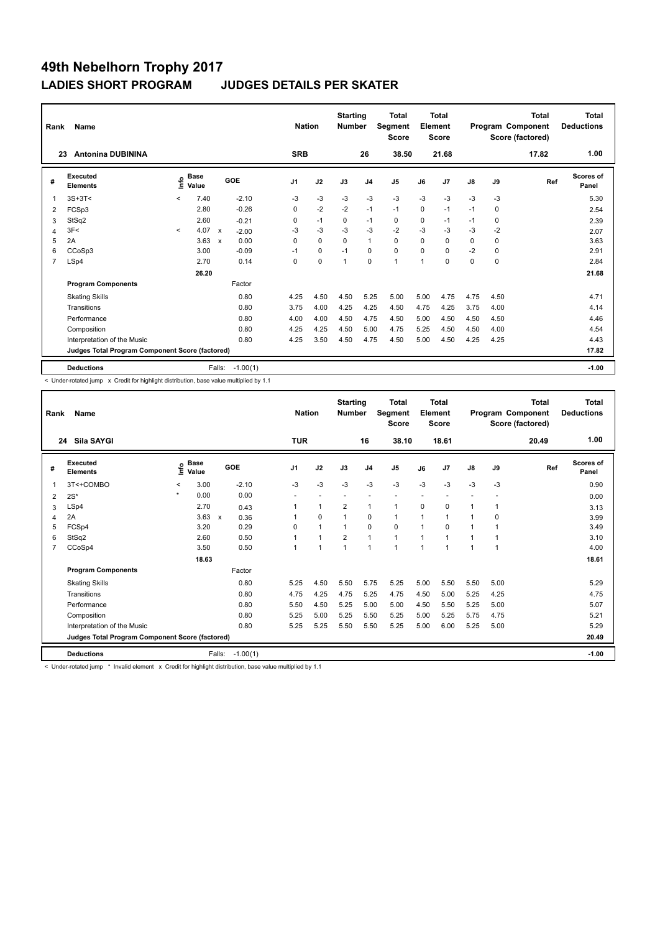| Rank           | Name                                            |         |                      |                           |            | <b>Nation</b>  |             | <b>Starting</b><br><b>Number</b> |                | Total<br>Segment<br><b>Score</b> |             | <b>Total</b><br>Element<br>Score |               |      | <b>Total</b><br>Program Component<br>Score (factored) | <b>Total</b><br><b>Deductions</b> |
|----------------|-------------------------------------------------|---------|----------------------|---------------------------|------------|----------------|-------------|----------------------------------|----------------|----------------------------------|-------------|----------------------------------|---------------|------|-------------------------------------------------------|-----------------------------------|
| 23             | <b>Antonina DUBININA</b>                        |         |                      |                           |            | <b>SRB</b>     |             |                                  | 26             | 38.50                            |             | 21.68                            |               |      | 17.82                                                 | 1.00                              |
| #              | Executed<br><b>Elements</b>                     | Info    | <b>Base</b><br>Value |                           | GOE        | J <sub>1</sub> | J2          | J3                               | J <sub>4</sub> | J <sub>5</sub>                   | J6          | J7                               | $\mathsf{J}8$ | J9   | Ref                                                   | <b>Scores of</b><br>Panel         |
| 1              | $3S+3T<$                                        | $\prec$ | 7.40                 |                           | $-2.10$    | -3             | $-3$        | $-3$                             | $-3$           | $-3$                             | $-3$        | $-3$                             | $-3$          | -3   |                                                       | 5.30                              |
| 2              | FCSp3                                           |         | 2.80                 |                           | $-0.26$    | 0              | $-2$        | $-2$                             | $-1$           | $-1$                             | $\mathbf 0$ | $-1$                             | $-1$          | 0    |                                                       | 2.54                              |
| 3              | StSq2                                           |         | 2.60                 |                           | $-0.21$    | 0              | $-1$        | 0                                | $-1$           | 0                                | 0           | $-1$                             | $-1$          | 0    |                                                       | 2.39                              |
| 4              | 3F<                                             | $\prec$ | 4.07                 | $\mathsf{x}$              | $-2.00$    | -3             | $-3$        | $-3$                             | $-3$           | $-2$                             | $-3$        | $-3$                             | $-3$          | $-2$ |                                                       | 2.07                              |
| 5              | 2A                                              |         | 3.63                 | $\boldsymbol{\mathsf{x}}$ | 0.00       | $\Omega$       | $\mathbf 0$ | $\Omega$                         | $\overline{1}$ | $\Omega$                         | $\Omega$    | $\Omega$                         | 0             | 0    |                                                       | 3.63                              |
| 6              | CCoSp3                                          |         | 3.00                 |                           | $-0.09$    | $-1$           | $\mathbf 0$ | $-1$                             | 0              | $\mathbf 0$                      | $\Omega$    | $\Omega$                         | $-2$          | 0    |                                                       | 2.91                              |
| $\overline{7}$ | LSp4                                            |         | 2.70                 |                           | 0.14       | $\mathbf 0$    | $\mathbf 0$ | 1                                | $\mathbf 0$    | $\mathbf{1}$                     | 1           | 0                                | 0             | 0    |                                                       | 2.84                              |
|                |                                                 |         | 26.20                |                           |            |                |             |                                  |                |                                  |             |                                  |               |      |                                                       | 21.68                             |
|                | <b>Program Components</b>                       |         |                      |                           | Factor     |                |             |                                  |                |                                  |             |                                  |               |      |                                                       |                                   |
|                | <b>Skating Skills</b>                           |         |                      |                           | 0.80       | 4.25           | 4.50        | 4.50                             | 5.25           | 5.00                             | 5.00        | 4.75                             | 4.75          | 4.50 |                                                       | 4.71                              |
|                | Transitions                                     |         |                      |                           | 0.80       | 3.75           | 4.00        | 4.25                             | 4.25           | 4.50                             | 4.75        | 4.25                             | 3.75          | 4.00 |                                                       | 4.14                              |
|                | Performance                                     |         |                      |                           | 0.80       | 4.00           | 4.00        | 4.50                             | 4.75           | 4.50                             | 5.00        | 4.50                             | 4.50          | 4.50 |                                                       | 4.46                              |
|                | Composition                                     |         |                      |                           | 0.80       | 4.25           | 4.25        | 4.50                             | 5.00           | 4.75                             | 5.25        | 4.50                             | 4.50          | 4.00 |                                                       | 4.54                              |
|                | Interpretation of the Music                     |         |                      |                           | 0.80       | 4.25           | 3.50        | 4.50                             | 4.75           | 4.50                             | 5.00        | 4.50                             | 4.25          | 4.25 |                                                       | 4.43                              |
|                | Judges Total Program Component Score (factored) |         |                      |                           |            |                |             |                                  |                |                                  |             |                                  |               |      |                                                       | 17.82                             |
|                | <b>Deductions</b>                               |         |                      | Falls:                    | $-1.00(1)$ |                |             |                                  |                |                                  |             |                                  |               |      |                                                       | $-1.00$                           |

< Under-rotated jump x Credit for highlight distribution, base value multiplied by 1.1

| Rank           | Name                                            |         |               |                           |            | <b>Nation</b>  |                | <b>Starting</b><br><b>Number</b> |                | Total<br>Segment<br><b>Score</b> |                          | Total<br>Element<br><b>Score</b> |      |              | Total<br>Program Component<br>Score (factored) | <b>Total</b><br><b>Deductions</b> |
|----------------|-------------------------------------------------|---------|---------------|---------------------------|------------|----------------|----------------|----------------------------------|----------------|----------------------------------|--------------------------|----------------------------------|------|--------------|------------------------------------------------|-----------------------------------|
| 24             | Sila SAYGI                                      |         |               |                           |            | <b>TUR</b>     |                |                                  | 16             | 38.10                            |                          | 18.61                            |      |              | 20.49                                          | 1.00                              |
| #              | Executed<br><b>Elements</b>                     | ١nf٥    | Base<br>Value |                           | GOE        | J <sub>1</sub> | J2             | J3                               | J <sub>4</sub> | J <sub>5</sub>                   | J6                       | J7                               | J8   | J9           | Ref                                            | <b>Scores of</b><br>Panel         |
| 1              | 3T<+COMBO                                       | $\prec$ | 3.00          |                           | $-2.10$    | $-3$           | $-3$           | $-3$                             | $-3$           | $-3$                             | $-3$                     | $-3$                             | $-3$ | $-3$         |                                                | 0.90                              |
| $\overline{2}$ | $2S^*$                                          | $\star$ | 0.00          |                           | 0.00       | ٠              | $\overline{a}$ | $\overline{\phantom{a}}$         | ÷              | $\overline{a}$                   | $\overline{\phantom{a}}$ |                                  |      |              |                                                | 0.00                              |
| 3              | LSp4                                            |         | 2.70          |                           | 0.43       |                | $\mathbf{1}$   | $\overline{2}$                   | $\mathbf{1}$   | $\mathbf{1}$                     | 0                        | 0                                | 1    | $\mathbf{1}$ |                                                | 3.13                              |
| $\overline{4}$ | 2A                                              |         | 3.63          | $\boldsymbol{\mathsf{x}}$ | 0.36       |                | $\mathbf 0$    | $\mathbf 1$                      | $\mathbf 0$    | 1                                | 1                        | 1                                | 1    | 0            |                                                | 3.99                              |
| 5              | FCSp4                                           |         | 3.20          |                           | 0.29       | 0              | $\overline{1}$ | $\mathbf{1}$                     | $\mathbf 0$    | 0                                | 1                        | 0                                | 1    | 1            |                                                | 3.49                              |
| 6              | StSq2                                           |         | 2.60          |                           | 0.50       |                | $\overline{1}$ | $\overline{2}$                   | $\overline{1}$ | $\mathbf{1}$                     | 1                        | 1                                | 1    | 1            |                                                | 3.10                              |
| $\overline{7}$ | CCoSp4                                          |         | 3.50          |                           | 0.50       |                | 1              | 1                                | $\mathbf{1}$   | $\overline{ }$                   | 1                        | 1                                | 1    | 1            |                                                | 4.00                              |
|                |                                                 |         | 18.63         |                           |            |                |                |                                  |                |                                  |                          |                                  |      |              |                                                | 18.61                             |
|                | <b>Program Components</b>                       |         |               |                           | Factor     |                |                |                                  |                |                                  |                          |                                  |      |              |                                                |                                   |
|                | <b>Skating Skills</b>                           |         |               |                           | 0.80       | 5.25           | 4.50           | 5.50                             | 5.75           | 5.25                             | 5.00                     | 5.50                             | 5.50 | 5.00         |                                                | 5.29                              |
|                | Transitions                                     |         |               |                           | 0.80       | 4.75           | 4.25           | 4.75                             | 5.25           | 4.75                             | 4.50                     | 5.00                             | 5.25 | 4.25         |                                                | 4.75                              |
|                | Performance                                     |         |               |                           | 0.80       | 5.50           | 4.50           | 5.25                             | 5.00           | 5.00                             | 4.50                     | 5.50                             | 5.25 | 5.00         |                                                | 5.07                              |
|                | Composition                                     |         |               |                           | 0.80       | 5.25           | 5.00           | 5.25                             | 5.50           | 5.25                             | 5.00                     | 5.25                             | 5.75 | 4.75         |                                                | 5.21                              |
|                | Interpretation of the Music                     |         |               |                           | 0.80       | 5.25           | 5.25           | 5.50                             | 5.50           | 5.25                             | 5.00                     | 6.00                             | 5.25 | 5.00         |                                                | 5.29                              |
|                | Judges Total Program Component Score (factored) |         |               |                           |            |                |                |                                  |                |                                  |                          |                                  |      |              |                                                | 20.49                             |
|                | <b>Deductions</b>                               |         |               | Falls:                    | $-1.00(1)$ |                |                |                                  |                |                                  |                          |                                  |      |              |                                                | $-1.00$                           |

< Under-rotated jump \* Invalid element x Credit for highlight distribution, base value multiplied by 1.1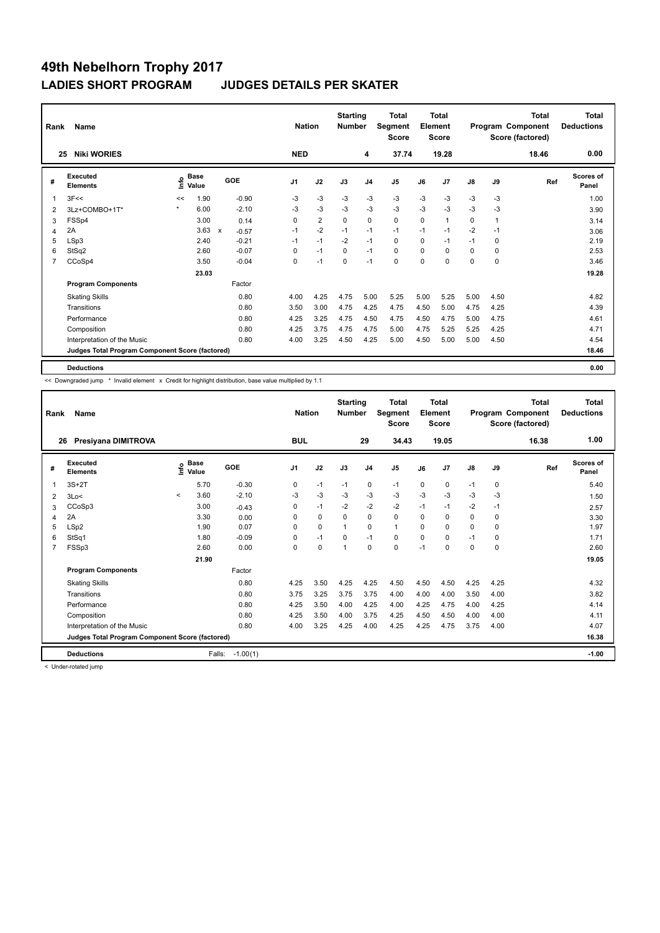| Rank           | <b>Name</b>                                     |         |                      |                           |         | <b>Nation</b>  |                | <b>Starting</b><br><b>Number</b> |                | Total<br>Segment<br><b>Score</b> |          | <b>Total</b><br>Element<br><b>Score</b> |               |                | <b>Total</b><br>Program Component<br>Score (factored) | Total<br><b>Deductions</b> |
|----------------|-------------------------------------------------|---------|----------------------|---------------------------|---------|----------------|----------------|----------------------------------|----------------|----------------------------------|----------|-----------------------------------------|---------------|----------------|-------------------------------------------------------|----------------------------|
| 25             | <b>Niki WORIES</b>                              |         |                      |                           |         | <b>NED</b>     |                |                                  | 4              | 37.74                            |          | 19.28                                   |               |                | 18.46                                                 | 0.00                       |
| #              | Executed<br><b>Elements</b>                     | Info    | <b>Base</b><br>Value |                           | GOE     | J <sub>1</sub> | J2             | J3                               | J <sub>4</sub> | J <sub>5</sub>                   | J6       | J7                                      | $\mathsf{J}8$ | J9             | Ref                                                   | <b>Scores of</b><br>Panel  |
| $\overline{1}$ | 3F<<                                            | <<      | 1.90                 |                           | $-0.90$ | $-3$           | $-3$           | $-3$                             | $-3$           | $-3$                             | $-3$     | $-3$                                    | $-3$          | $-3$           |                                                       | 1.00                       |
| 2              | 3Lz+COMBO+1T*                                   | $\star$ | 6.00                 |                           | $-2.10$ | -3             | $-3$           | -3                               | $-3$           | $-3$                             | $-3$     | $-3$                                    | $-3$          | -3             |                                                       | 3.90                       |
| 3              | FSSp4                                           |         | 3.00                 |                           | 0.14    | 0              | $\overline{2}$ | 0                                | $\mathbf 0$    | $\mathbf 0$                      | 0        | 1                                       | 0             | $\overline{1}$ |                                                       | 3.14                       |
| 4              | 2A                                              |         | 3.63                 | $\boldsymbol{\mathsf{x}}$ | $-0.57$ | $-1$           | $-2$           | $-1$                             | $-1$           | $-1$                             | $-1$     | $-1$                                    | $-2$          | $-1$           |                                                       | 3.06                       |
| 5              | LSp3                                            |         | 2.40                 |                           | $-0.21$ | $-1$           | $-1$           | $-2$                             | $-1$           | 0                                | $\Omega$ | $-1$                                    | $-1$          | 0              |                                                       | 2.19                       |
| 6              | StSq2                                           |         | 2.60                 |                           | $-0.07$ | $\Omega$       | $-1$           | $\Omega$                         | $-1$           | $\mathbf 0$                      | $\Omega$ | $\Omega$                                | 0             | 0              |                                                       | 2.53                       |
| 7              | CCoSp4                                          |         | 3.50                 |                           | $-0.04$ | 0              | $-1$           | 0                                | $-1$           | $\Omega$                         | $\Omega$ | $\Omega$                                | 0             | 0              |                                                       | 3.46                       |
|                |                                                 |         | 23.03                |                           |         |                |                |                                  |                |                                  |          |                                         |               |                |                                                       | 19.28                      |
|                | <b>Program Components</b>                       |         |                      |                           | Factor  |                |                |                                  |                |                                  |          |                                         |               |                |                                                       |                            |
|                | <b>Skating Skills</b>                           |         |                      |                           | 0.80    | 4.00           | 4.25           | 4.75                             | 5.00           | 5.25                             | 5.00     | 5.25                                    | 5.00          | 4.50           |                                                       | 4.82                       |
|                | Transitions                                     |         |                      |                           | 0.80    | 3.50           | 3.00           | 4.75                             | 4.25           | 4.75                             | 4.50     | 5.00                                    | 4.75          | 4.25           |                                                       | 4.39                       |
|                | Performance                                     |         |                      |                           | 0.80    | 4.25           | 3.25           | 4.75                             | 4.50           | 4.75                             | 4.50     | 4.75                                    | 5.00          | 4.75           |                                                       | 4.61                       |
|                | Composition                                     |         |                      |                           | 0.80    | 4.25           | 3.75           | 4.75                             | 4.75           | 5.00                             | 4.75     | 5.25                                    | 5.25          | 4.25           |                                                       | 4.71                       |
|                | Interpretation of the Music                     |         |                      |                           | 0.80    | 4.00           | 3.25           | 4.50                             | 4.25           | 5.00                             | 4.50     | 5.00                                    | 5.00          | 4.50           |                                                       | 4.54                       |
|                | Judges Total Program Component Score (factored) |         |                      |                           |         |                |                |                                  |                |                                  |          |                                         |               |                |                                                       | 18.46                      |
|                | <b>Deductions</b>                               |         |                      |                           |         |                |                |                                  |                |                                  |          |                                         |               |                |                                                       | 0.00                       |

<< Downgraded jump \* Invalid element x Credit for highlight distribution, base value multiplied by 1.1

| Rank<br>26     | Name<br>Presiyana DIMITROVA                     |         |                                  |            | <b>Nation</b><br><b>BUL</b> |             | <b>Starting</b><br><b>Number</b> | 29             | <b>Total</b><br><b>Segment</b><br><b>Score</b><br>34.43 |          | <b>Total</b><br>Element<br><b>Score</b><br>19.05 |               |             | <b>Total</b><br>Program Component<br>Score (factored)<br>16.38 | <b>Total</b><br><b>Deductions</b><br>1.00 |
|----------------|-------------------------------------------------|---------|----------------------------------|------------|-----------------------------|-------------|----------------------------------|----------------|---------------------------------------------------------|----------|--------------------------------------------------|---------------|-------------|----------------------------------------------------------------|-------------------------------------------|
|                |                                                 |         |                                  |            |                             |             |                                  |                |                                                         |          |                                                  |               |             |                                                                |                                           |
| #              | Executed<br><b>Elements</b>                     |         | <b>Base</b><br>e Base<br>⊆ Value | GOE        | J <sub>1</sub>              | J2          | J3                               | J <sub>4</sub> | J <sub>5</sub>                                          | J6       | J7                                               | $\mathsf{J}8$ | J9          | Ref                                                            | <b>Scores of</b><br>Panel                 |
| 1              | $3S+2T$                                         |         | 5.70                             | $-0.30$    | 0                           | $-1$        | $-1$                             | 0              | $-1$                                                    | $\Omega$ | 0                                                | $-1$          | $\mathbf 0$ |                                                                | 5.40                                      |
| 2              | 3Lo<                                            | $\prec$ | 3.60                             | $-2.10$    | $-3$                        | $-3$        | $-3$                             | $-3$           | $-3$                                                    | $-3$     | $-3$                                             | $-3$          | $-3$        |                                                                | 1.50                                      |
| 3              | CCoSp3                                          |         | 3.00                             | $-0.43$    | 0                           | $-1$        | $-2$                             | $-2$           | $-2$                                                    | $-1$     | $-1$                                             | $-2$          | $-1$        |                                                                | 2.57                                      |
| 4              | 2A                                              |         | 3.30                             | 0.00       | $\Omega$                    | $\Omega$    | $\Omega$                         | $\Omega$       | $\Omega$                                                | $\Omega$ | $\Omega$                                         | $\Omega$      | $\Omega$    |                                                                | 3.30                                      |
| 5              | LSp2                                            |         | 1.90                             | 0.07       | 0                           | $\mathbf 0$ | $\overline{1}$                   | $\mathbf 0$    | $\mathbf{1}$                                            | $\Omega$ | $\Omega$                                         | $\Omega$      | $\Omega$    |                                                                | 1.97                                      |
| 6              | StSq1                                           |         | 1.80                             | $-0.09$    | $\Omega$                    | $-1$        | $\Omega$                         | $-1$           | $\mathbf 0$                                             | $\Omega$ | $\Omega$                                         | $-1$          | $\Omega$    |                                                                | 1.71                                      |
| $\overline{7}$ | FSSp3                                           |         | 2.60                             | 0.00       | 0                           | $\pmb{0}$   | 1                                | $\mathbf 0$    | 0                                                       | $-1$     | $\Omega$                                         | 0             | $\mathbf 0$ |                                                                | 2.60                                      |
|                |                                                 |         | 21.90                            |            |                             |             |                                  |                |                                                         |          |                                                  |               |             |                                                                | 19.05                                     |
|                | <b>Program Components</b>                       |         |                                  | Factor     |                             |             |                                  |                |                                                         |          |                                                  |               |             |                                                                |                                           |
|                | <b>Skating Skills</b>                           |         |                                  | 0.80       | 4.25                        | 3.50        | 4.25                             | 4.25           | 4.50                                                    | 4.50     | 4.50                                             | 4.25          | 4.25        |                                                                | 4.32                                      |
|                | Transitions                                     |         |                                  | 0.80       | 3.75                        | 3.25        | 3.75                             | 3.75           | 4.00                                                    | 4.00     | 4.00                                             | 3.50          | 4.00        |                                                                | 3.82                                      |
|                | Performance                                     |         |                                  | 0.80       | 4.25                        | 3.50        | 4.00                             | 4.25           | 4.00                                                    | 4.25     | 4.75                                             | 4.00          | 4.25        |                                                                | 4.14                                      |
|                | Composition                                     |         |                                  | 0.80       | 4.25                        | 3.50        | 4.00                             | 3.75           | 4.25                                                    | 4.50     | 4.50                                             | 4.00          | 4.00        |                                                                | 4.11                                      |
|                | Interpretation of the Music                     |         |                                  | 0.80       | 4.00                        | 3.25        | 4.25                             | 4.00           | 4.25                                                    | 4.25     | 4.75                                             | 3.75          | 4.00        |                                                                | 4.07                                      |
|                | Judges Total Program Component Score (factored) |         |                                  |            |                             |             |                                  |                |                                                         |          |                                                  |               |             |                                                                | 16.38                                     |
|                | <b>Deductions</b>                               |         | Falls:                           | $-1.00(1)$ |                             |             |                                  |                |                                                         |          |                                                  |               |             |                                                                | $-1.00$                                   |

< Under-rotated jump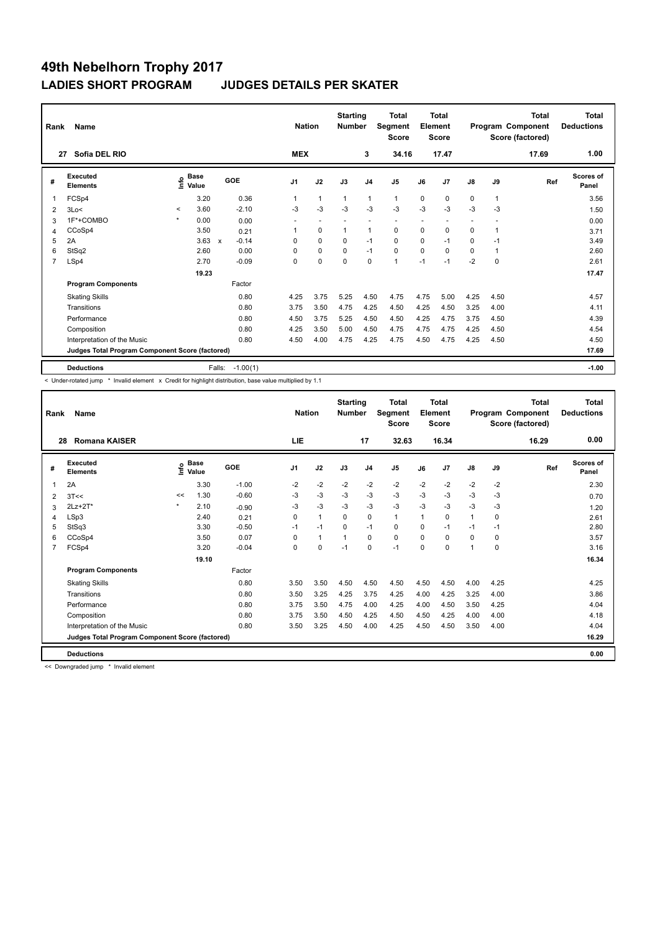| Rank           | Name                                            |         |                                  |                                      |                | <b>Nation</b>  | <b>Starting</b><br><b>Number</b> |                          | <b>Total</b><br>Segment<br><b>Score</b> |                          | <b>Total</b><br>Element<br><b>Score</b> |                          |              | <b>Total</b><br>Program Component<br>Score (factored) | <b>Total</b><br><b>Deductions</b> |
|----------------|-------------------------------------------------|---------|----------------------------------|--------------------------------------|----------------|----------------|----------------------------------|--------------------------|-----------------------------------------|--------------------------|-----------------------------------------|--------------------------|--------------|-------------------------------------------------------|-----------------------------------|
| 27             | Sofia DEL RIO                                   |         |                                  |                                      | <b>MEX</b>     |                |                                  | 3                        | 34.16                                   |                          | 17.47                                   |                          |              | 17.69                                                 | 1.00                              |
| #              | Executed<br><b>Elements</b>                     |         | <b>Base</b><br>e Base<br>⊆ Value | <b>GOE</b>                           | J <sub>1</sub> | J2             | J3                               | J <sub>4</sub>           | J <sub>5</sub>                          | J6                       | J7                                      | $\mathsf{J}8$            | J9           | Ref                                                   | <b>Scores of</b><br>Panel         |
| $\overline{1}$ | FCSp4                                           |         | 3.20                             | 0.36                                 | $\mathbf{1}$   | $\mathbf{1}$   | $\mathbf{1}$                     | $\mathbf{1}$             | $\mathbf{1}$                            | 0                        | 0                                       | 0                        | $\mathbf{1}$ |                                                       | 3.56                              |
| 2              | 3Lo<                                            | $\,<$   | 3.60                             | $-2.10$                              | -3             | $-3$           | $-3$                             | -3                       | $-3$                                    | $-3$                     | $-3$                                    | $-3$                     | $-3$         |                                                       | 1.50                              |
| 3              | 1F*+COMBO                                       | $\star$ | 0.00                             | 0.00                                 | ٠              | $\overline{a}$ | $\overline{\phantom{a}}$         | $\overline{\phantom{a}}$ | $\overline{\phantom{a}}$                | $\overline{\phantom{a}}$ |                                         | $\overline{\phantom{a}}$ |              |                                                       | 0.00                              |
| 4              | CCoSp4                                          |         | 3.50                             | 0.21                                 | 1              | $\mathbf 0$    | $\mathbf{1}$                     | $\mathbf{1}$             | $\mathbf 0$                             | $\mathbf 0$              | 0                                       | 0                        | 1            |                                                       | 3.71                              |
| 5              | 2A                                              |         | 3.63                             | $-0.14$<br>$\boldsymbol{\mathsf{x}}$ | 0              | $\mathbf 0$    | 0                                | $-1$                     | $\mathbf 0$                             | 0                        | $-1$                                    | 0                        | -1           |                                                       | 3.49                              |
| 6              | StSq2                                           |         | 2.60                             | 0.00                                 | $\Omega$       | $\pmb{0}$      | $\mathbf 0$                      | $-1$                     | $\pmb{0}$                               | $\Omega$                 | $\Omega$                                | 0                        | 1            |                                                       | 2.60                              |
| $\overline{7}$ | LSp4                                            |         | 2.70                             | $-0.09$                              | 0              | $\mathbf 0$    | $\Omega$                         | $\mathbf 0$              | $\mathbf{1}$                            | $-1$                     | $-1$                                    | $-2$                     | $\mathbf 0$  |                                                       | 2.61                              |
|                |                                                 |         | 19.23                            |                                      |                |                |                                  |                          |                                         |                          |                                         |                          |              |                                                       | 17.47                             |
|                | <b>Program Components</b>                       |         |                                  | Factor                               |                |                |                                  |                          |                                         |                          |                                         |                          |              |                                                       |                                   |
|                | <b>Skating Skills</b>                           |         |                                  | 0.80                                 | 4.25           | 3.75           | 5.25                             | 4.50                     | 4.75                                    | 4.75                     | 5.00                                    | 4.25                     | 4.50         |                                                       | 4.57                              |
|                | Transitions                                     |         |                                  | 0.80                                 | 3.75           | 3.50           | 4.75                             | 4.25                     | 4.50                                    | 4.25                     | 4.50                                    | 3.25                     | 4.00         |                                                       | 4.11                              |
|                | Performance                                     |         |                                  | 0.80                                 | 4.50           | 3.75           | 5.25                             | 4.50                     | 4.50                                    | 4.25                     | 4.75                                    | 3.75                     | 4.50         |                                                       | 4.39                              |
|                | Composition                                     |         |                                  | 0.80                                 | 4.25           | 3.50           | 5.00                             | 4.50                     | 4.75                                    | 4.75                     | 4.75                                    | 4.25                     | 4.50         |                                                       | 4.54                              |
|                | Interpretation of the Music                     |         |                                  | 0.80                                 | 4.50           | 4.00           | 4.75                             | 4.25                     | 4.75                                    | 4.50                     | 4.75                                    | 4.25                     | 4.50         |                                                       | 4.50                              |
|                | Judges Total Program Component Score (factored) |         |                                  |                                      |                |                |                                  |                          |                                         |                          |                                         |                          |              |                                                       | 17.69                             |
|                | <b>Deductions</b>                               |         |                                  | $-1.00(1)$<br>Falls:                 |                |                |                                  |                          |                                         |                          |                                         |                          |              |                                                       | $-1.00$                           |

< Under-rotated jump \* Invalid element x Credit for highlight distribution, base value multiplied by 1.1

| Rank           | <b>Name</b>                                     |         |                      |         | <b>Nation</b> |              | <b>Starting</b><br><b>Number</b> |                | Total<br>Segment<br><b>Score</b> |          | Total<br>Element<br><b>Score</b> |               |          | <b>Total</b><br>Program Component<br>Score (factored) | <b>Total</b><br><b>Deductions</b> |
|----------------|-------------------------------------------------|---------|----------------------|---------|---------------|--------------|----------------------------------|----------------|----------------------------------|----------|----------------------------------|---------------|----------|-------------------------------------------------------|-----------------------------------|
| 28             | Romana KAISER                                   |         |                      |         | <b>LIE</b>    |              |                                  | 17             | 32.63                            |          | 16.34                            |               |          | 16.29                                                 | 0.00                              |
| #              | Executed<br><b>Elements</b>                     | ١nf٥    | <b>Base</b><br>Value | GOE     | J1            | J2           | J3                               | J <sub>4</sub> | J <sub>5</sub>                   | J6       | J7                               | $\mathsf{J}8$ | J9       | Ref                                                   | Scores of<br>Panel                |
| 1              | 2A                                              |         | 3.30                 | $-1.00$ | $-2$          | $-2$         | $-2$                             | $-2$           | $-2$                             | $-2$     | $-2$                             | $-2$          | $-2$     |                                                       | 2.30                              |
| 2              | 3T<<                                            | <<      | 1.30                 | $-0.60$ | $-3$          | $-3$         | $-3$                             | $-3$           | $-3$                             | $-3$     | $-3$                             | $-3$          | $-3$     |                                                       | 0.70                              |
| 3              | 2Lz+2T*                                         | $\star$ | 2.10                 | $-0.90$ | -3            | $-3$         | $-3$                             | $-3$           | $-3$                             | $-3$     | $-3$                             | $-3$          | $-3$     |                                                       | 1.20                              |
| 4              | LSp3                                            |         | 2.40                 | 0.21    | $\Omega$      | $\mathbf{1}$ | $\Omega$                         | $\Omega$       | $\mathbf{1}$                     | 1        | $\Omega$                         | $\mathbf{1}$  | $\Omega$ |                                                       | 2.61                              |
| 5              | StSq3                                           |         | 3.30                 | $-0.50$ | $-1$          | $-1$         | $\Omega$                         | $-1$           | 0                                | $\Omega$ | $-1$                             | $-1$          | $-1$     |                                                       | 2.80                              |
| 6              | CCoSp4                                          |         | 3.50                 | 0.07    | $\Omega$      | $\mathbf{1}$ | $\mathbf{1}$                     | $\Omega$       | 0                                | $\Omega$ | $\Omega$                         | 0             | 0        |                                                       | 3.57                              |
| $\overline{7}$ | FCSp4                                           |         | 3.20                 | $-0.04$ | 0             | 0            | $-1$                             | $\mathbf 0$    | $-1$                             | 0        | 0                                | 1             | 0        |                                                       | 3.16                              |
|                |                                                 |         | 19.10                |         |               |              |                                  |                |                                  |          |                                  |               |          |                                                       | 16.34                             |
|                | <b>Program Components</b>                       |         |                      | Factor  |               |              |                                  |                |                                  |          |                                  |               |          |                                                       |                                   |
|                | <b>Skating Skills</b>                           |         |                      | 0.80    | 3.50          | 3.50         | 4.50                             | 4.50           | 4.50                             | 4.50     | 4.50                             | 4.00          | 4.25     |                                                       | 4.25                              |
|                | Transitions                                     |         |                      | 0.80    | 3.50          | 3.25         | 4.25                             | 3.75           | 4.25                             | 4.00     | 4.25                             | 3.25          | 4.00     |                                                       | 3.86                              |
|                | Performance                                     |         |                      | 0.80    | 3.75          | 3.50         | 4.75                             | 4.00           | 4.25                             | 4.00     | 4.50                             | 3.50          | 4.25     |                                                       | 4.04                              |
|                | Composition                                     |         |                      | 0.80    | 3.75          | 3.50         | 4.50                             | 4.25           | 4.50                             | 4.50     | 4.25                             | 4.00          | 4.00     |                                                       | 4.18                              |
|                | Interpretation of the Music                     |         |                      | 0.80    | 3.50          | 3.25         | 4.50                             | 4.00           | 4.25                             | 4.50     | 4.50                             | 3.50          | 4.00     |                                                       | 4.04                              |
|                | Judges Total Program Component Score (factored) |         |                      |         |               |              |                                  |                |                                  |          |                                  |               |          |                                                       | 16.29                             |
|                | <b>Deductions</b>                               |         |                      |         |               |              |                                  |                |                                  |          |                                  |               |          |                                                       | 0.00                              |

<< Downgraded jump \* Invalid element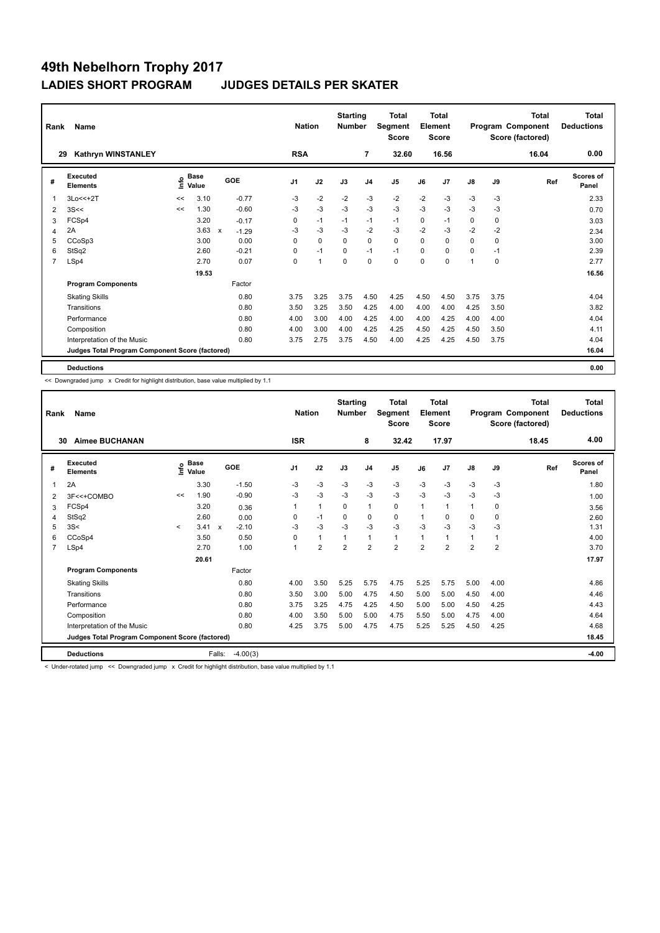| Rank           | <b>Name</b>                                     |      |               |              |                | <b>Nation</b>  | <b>Starting</b><br><b>Number</b> |                | Total<br>Segment<br><b>Score</b> |          | <b>Total</b><br>Element<br><b>Score</b> |               |      | <b>Total</b><br>Program Component<br>Score (factored) | Total<br><b>Deductions</b> |
|----------------|-------------------------------------------------|------|---------------|--------------|----------------|----------------|----------------------------------|----------------|----------------------------------|----------|-----------------------------------------|---------------|------|-------------------------------------------------------|----------------------------|
| 29             | Kathryn WINSTANLEY                              |      |               |              | <b>RSA</b>     |                |                                  | $\overline{7}$ | 32.60                            |          | 16.56                                   |               |      | 16.04                                                 | 0.00                       |
| #              | Executed<br><b>Elements</b>                     | Info | Base<br>Value | GOE          | J <sub>1</sub> | J2             | J3                               | J <sub>4</sub> | J <sub>5</sub>                   | J6       | J7                                      | $\mathsf{J}8$ | J9   | Ref                                                   | <b>Scores of</b><br>Panel  |
| $\overline{1}$ | 3Lo<<+2T                                        | <<   | 3.10          | $-0.77$      | $-3$           | $-2$           | $-2$                             | $-3$           | $-2$                             | $-2$     | $-3$                                    | $-3$          | $-3$ |                                                       | 2.33                       |
| 2              | 3S<<                                            | <<   | 1.30          | $-0.60$      | -3             | $-3$           | $-3$                             | $-3$           | $-3$                             | $-3$     | $-3$                                    | $-3$          | -3   |                                                       | 0.70                       |
| 3              | FCSp4                                           |      | 3.20          | $-0.17$      | 0              | $-1$           | $-1$                             | $-1$           | $-1$                             | 0        | $-1$                                    | 0             | 0    |                                                       | 3.03                       |
| 4              | 2A                                              |      | 3.63          | X<br>$-1.29$ | $-3$           | $-3$           | $-3$                             | $-2$           | $-3$                             | $-2$     | $-3$                                    | $-2$          | $-2$ |                                                       | 2.34                       |
| 5              | CCoSp3                                          |      | 3.00          | 0.00         | 0              | $\mathbf 0$    | $\Omega$                         | $\mathbf 0$    | $\mathbf 0$                      | $\Omega$ | 0                                       | 0             | 0    |                                                       | 3.00                       |
| 6              | StSq2                                           |      | 2.60          | $-0.21$      | 0              | $-1$           | $\Omega$                         | $-1$           | $-1$                             | $\Omega$ | $\Omega$                                | 0             | $-1$ |                                                       | 2.39                       |
| $\overline{7}$ | LSp4                                            |      | 2.70          | 0.07         | 0              | $\overline{1}$ | $\mathbf 0$                      | $\mathbf 0$    | $\mathbf 0$                      | $\Omega$ | $\Omega$                                | $\mathbf 1$   | 0    |                                                       | 2.77                       |
|                |                                                 |      | 19.53         |              |                |                |                                  |                |                                  |          |                                         |               |      |                                                       | 16.56                      |
|                | <b>Program Components</b>                       |      |               | Factor       |                |                |                                  |                |                                  |          |                                         |               |      |                                                       |                            |
|                | <b>Skating Skills</b>                           |      |               | 0.80         | 3.75           | 3.25           | 3.75                             | 4.50           | 4.25                             | 4.50     | 4.50                                    | 3.75          | 3.75 |                                                       | 4.04                       |
|                | Transitions                                     |      |               | 0.80         | 3.50           | 3.25           | 3.50                             | 4.25           | 4.00                             | 4.00     | 4.00                                    | 4.25          | 3.50 |                                                       | 3.82                       |
|                | Performance                                     |      |               | 0.80         | 4.00           | 3.00           | 4.00                             | 4.25           | 4.00                             | 4.00     | 4.25                                    | 4.00          | 4.00 |                                                       | 4.04                       |
|                | Composition                                     |      |               | 0.80         | 4.00           | 3.00           | 4.00                             | 4.25           | 4.25                             | 4.50     | 4.25                                    | 4.50          | 3.50 |                                                       | 4.11                       |
|                | Interpretation of the Music                     |      |               | 0.80         | 3.75           | 2.75           | 3.75                             | 4.50           | 4.00                             | 4.25     | 4.25                                    | 4.50          | 3.75 |                                                       | 4.04                       |
|                | Judges Total Program Component Score (factored) |      |               |              |                |                |                                  |                |                                  |          |                                         |               |      |                                                       | 16.04                      |
|                | <b>Deductions</b>                               |      |               |              |                |                |                                  |                |                                  |          |                                         |               |      |                                                       | 0.00                       |

<< Downgraded jump x Credit for highlight distribution, base value multiplied by 1.1

| Rank           | Name                                            |              |                                  |                           |            | <b>Nation</b> |                | <b>Starting</b><br><b>Number</b> |                | <b>Total</b><br>Segment<br><b>Score</b> |                | Total<br>Element<br><b>Score</b> |                |                | <b>Total</b><br>Program Component<br>Score (factored) | <b>Total</b><br><b>Deductions</b> |
|----------------|-------------------------------------------------|--------------|----------------------------------|---------------------------|------------|---------------|----------------|----------------------------------|----------------|-----------------------------------------|----------------|----------------------------------|----------------|----------------|-------------------------------------------------------|-----------------------------------|
| 30             | <b>Aimee BUCHANAN</b>                           |              |                                  |                           |            | <b>ISR</b>    |                |                                  | 8              | 32.42                                   |                | 17.97                            |                |                | 18.45                                                 | 4.00                              |
| #              | <b>Executed</b><br><b>Elements</b>              |              | <b>Base</b><br>e Base<br>⊆ Value | GOE                       |            | J1            | J2             | J3                               | J <sub>4</sub> | J <sub>5</sub>                          | J6             | J7                               | $\mathsf{J}8$  | J9             | Ref                                                   | <b>Scores of</b><br>Panel         |
| 1              | 2A                                              |              | 3.30                             |                           | $-1.50$    | $-3$          | $-3$           | $-3$                             | $-3$           | $-3$                                    | $-3$           | $-3$                             | $-3$           | $-3$           |                                                       | 1.80                              |
| 2              | 3F<<+COMBO                                      | <<           | 1.90                             |                           | $-0.90$    | -3            | $-3$           | $-3$                             | $-3$           | $-3$                                    | $-3$           | $-3$                             | $-3$           | -3             |                                                       | 1.00                              |
| 3              | FCSp4                                           |              | 3.20                             |                           | 0.36       | $\mathbf{1}$  | $\mathbf{1}$   | $\mathbf 0$                      | $\mathbf{1}$   | $\mathbf 0$                             | 1              | 1                                | $\mathbf{1}$   | 0              |                                                       | 3.56                              |
| 4              | StSq2                                           |              | 2.60                             |                           | 0.00       | 0             | $-1$           | 0                                | 0              | $\mathbf 0$                             | 1              | $\Omega$                         | 0              | 0              |                                                       | 2.60                              |
| 5              | 3S<                                             | $\checkmark$ | 3.41                             | $\boldsymbol{\mathsf{x}}$ | $-2.10$    | -3            | -3             | -3                               | $-3$           | $-3$                                    | $-3$           | $-3$                             | -3             | -3             |                                                       | 1.31                              |
| 6              | CCoSp4                                          |              | 3.50                             |                           | 0.50       | $\Omega$      | $\mathbf{1}$   |                                  | $\overline{1}$ | $\mathbf{1}$                            | $\overline{1}$ | 1                                | $\mathbf{1}$   |                |                                                       | 4.00                              |
| $\overline{7}$ | LSp4                                            |              | 2.70                             |                           | 1.00       |               | $\overline{2}$ | $\overline{2}$                   | $\overline{2}$ | $\overline{2}$                          | $\overline{2}$ | $\overline{2}$                   | $\overline{2}$ | $\overline{2}$ |                                                       | 3.70                              |
|                |                                                 |              | 20.61                            |                           |            |               |                |                                  |                |                                         |                |                                  |                |                |                                                       | 17.97                             |
|                | <b>Program Components</b>                       |              |                                  |                           | Factor     |               |                |                                  |                |                                         |                |                                  |                |                |                                                       |                                   |
|                | <b>Skating Skills</b>                           |              |                                  |                           | 0.80       | 4.00          | 3.50           | 5.25                             | 5.75           | 4.75                                    | 5.25           | 5.75                             | 5.00           | 4.00           |                                                       | 4.86                              |
|                | Transitions                                     |              |                                  |                           | 0.80       | 3.50          | 3.00           | 5.00                             | 4.75           | 4.50                                    | 5.00           | 5.00                             | 4.50           | 4.00           |                                                       | 4.46                              |
|                | Performance                                     |              |                                  |                           | 0.80       | 3.75          | 3.25           | 4.75                             | 4.25           | 4.50                                    | 5.00           | 5.00                             | 4.50           | 4.25           |                                                       | 4.43                              |
|                | Composition                                     |              |                                  |                           | 0.80       | 4.00          | 3.50           | 5.00                             | 5.00           | 4.75                                    | 5.50           | 5.00                             | 4.75           | 4.00           |                                                       | 4.64                              |
|                | Interpretation of the Music                     |              |                                  |                           | 0.80       | 4.25          | 3.75           | 5.00                             | 4.75           | 4.75                                    | 5.25           | 5.25                             | 4.50           | 4.25           |                                                       | 4.68                              |
|                | Judges Total Program Component Score (factored) |              |                                  |                           |            |               |                |                                  |                |                                         |                |                                  |                |                |                                                       | 18.45                             |
|                | <b>Deductions</b>                               |              |                                  | Falls:                    | $-4.00(3)$ |               |                |                                  |                |                                         |                |                                  |                |                |                                                       | $-4.00$                           |

< Under-rotated jump << Downgraded jump x Credit for highlight distribution, base value multiplied by 1.1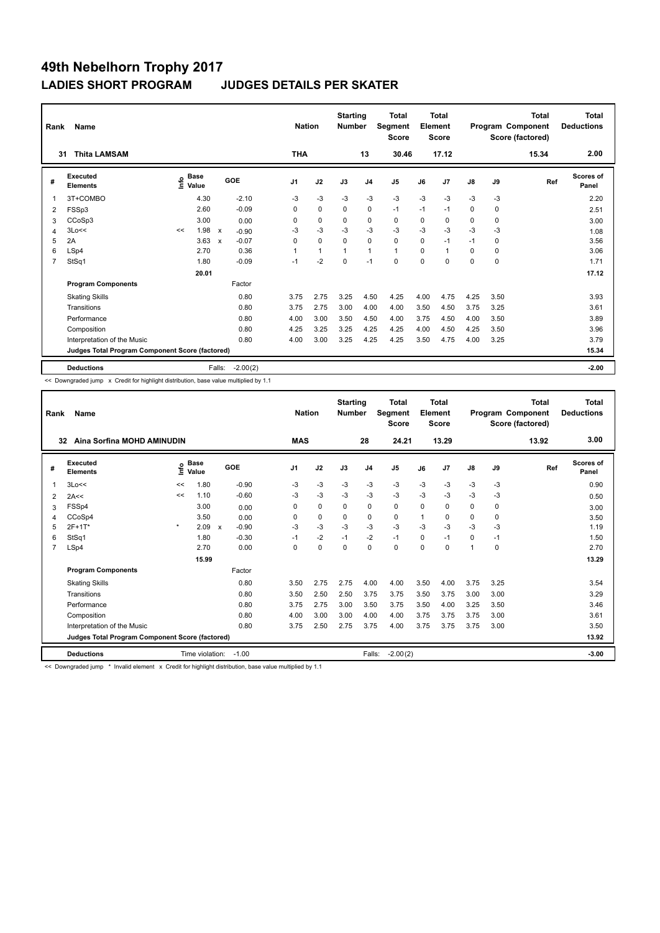| Rank           | Name                                            |                                  |       |                           |            | <b>Nation</b>  |              | <b>Starting</b><br><b>Number</b> |                | Total<br>Segment<br><b>Score</b> |          | <b>Total</b><br>Element<br><b>Score</b> |               |      | Total<br>Program Component<br>Score (factored) | <b>Total</b><br><b>Deductions</b> |
|----------------|-------------------------------------------------|----------------------------------|-------|---------------------------|------------|----------------|--------------|----------------------------------|----------------|----------------------------------|----------|-----------------------------------------|---------------|------|------------------------------------------------|-----------------------------------|
| 31             | <b>Thita LAMSAM</b>                             |                                  |       |                           |            | <b>THA</b>     |              |                                  | 13             | 30.46                            |          | 17.12                                   |               |      | 15.34                                          | 2.00                              |
| #              | Executed<br><b>Elements</b>                     | <b>Base</b><br>e Base<br>⊆ Value |       | GOE                       |            | J <sub>1</sub> | J2           | J3                               | J <sub>4</sub> | J <sub>5</sub>                   | J6       | J7                                      | $\mathsf{J}8$ | J9   | Ref                                            | Scores of<br>Panel                |
| $\overline{1}$ | 3T+COMBO                                        |                                  | 4.30  |                           | $-2.10$    | $-3$           | $-3$         | $-3$                             | $-3$           | $-3$                             | $-3$     | $-3$                                    | $-3$          | -3   |                                                | 2.20                              |
| 2              | FSSp3                                           |                                  | 2.60  |                           | $-0.09$    | 0              | $\mathbf 0$  | 0                                | $\mathbf 0$    | $-1$                             | $-1$     | $-1$                                    | 0             | 0    |                                                | 2.51                              |
| 3              | CCoSp3                                          |                                  | 3.00  |                           | 0.00       | 0              | $\mathbf 0$  | 0                                | 0              | 0                                | 0        | 0                                       | 0             | 0    |                                                | 3.00                              |
| $\overline{4}$ | 3Lo<<                                           | <<                               | 1.98  | $\boldsymbol{\mathsf{x}}$ | $-0.90$    | $-3$           | $-3$         | $-3$                             | $-3$           | $-3$                             | $-3$     | $-3$                                    | $-3$          | $-3$ |                                                | 1.08                              |
| 5              | 2A                                              |                                  | 3.63  | X                         | $-0.07$    | $\Omega$       | $\mathbf 0$  | $\Omega$                         | $\mathbf 0$    | $\Omega$                         | $\Omega$ | $-1$                                    | $-1$          | 0    |                                                | 3.56                              |
| 6              | LSp4                                            |                                  | 2.70  |                           | 0.36       |                | $\mathbf{1}$ |                                  | $\mathbf{1}$   | $\mathbf{1}$                     | $\Omega$ | 1                                       | 0             | 0    |                                                | 3.06                              |
| $\overline{7}$ | StSq1                                           |                                  | 1.80  |                           | $-0.09$    | $-1$           | $-2$         | $\mathbf 0$                      | $-1$           | $\mathbf 0$                      | $\Omega$ | $\Omega$                                | 0             | 0    |                                                | 1.71                              |
|                |                                                 |                                  | 20.01 |                           |            |                |              |                                  |                |                                  |          |                                         |               |      |                                                | 17.12                             |
|                | <b>Program Components</b>                       |                                  |       |                           | Factor     |                |              |                                  |                |                                  |          |                                         |               |      |                                                |                                   |
|                | <b>Skating Skills</b>                           |                                  |       |                           | 0.80       | 3.75           | 2.75         | 3.25                             | 4.50           | 4.25                             | 4.00     | 4.75                                    | 4.25          | 3.50 |                                                | 3.93                              |
|                | Transitions                                     |                                  |       |                           | 0.80       | 3.75           | 2.75         | 3.00                             | 4.00           | 4.00                             | 3.50     | 4.50                                    | 3.75          | 3.25 |                                                | 3.61                              |
|                | Performance                                     |                                  |       |                           | 0.80       | 4.00           | 3.00         | 3.50                             | 4.50           | 4.00                             | 3.75     | 4.50                                    | 4.00          | 3.50 |                                                | 3.89                              |
|                | Composition                                     |                                  |       |                           | 0.80       | 4.25           | 3.25         | 3.25                             | 4.25           | 4.25                             | 4.00     | 4.50                                    | 4.25          | 3.50 |                                                | 3.96                              |
|                | Interpretation of the Music                     |                                  |       |                           | 0.80       | 4.00           | 3.00         | 3.25                             | 4.25           | 4.25                             | 3.50     | 4.75                                    | 4.00          | 3.25 |                                                | 3.79                              |
|                | Judges Total Program Component Score (factored) |                                  |       |                           |            |                |              |                                  |                |                                  |          |                                         |               |      |                                                | 15.34                             |
|                | <b>Deductions</b>                               |                                  |       | Falls:                    | $-2.00(2)$ |                |              |                                  |                |                                  |          |                                         |               |      |                                                | $-2.00$                           |

<< Downgraded jump x Credit for highlight distribution, base value multiplied by 1.1

| Rank           | Name                                            |         |                 |                           |         | <b>Nation</b>  |             | <b>Starting</b><br><b>Number</b> |                | Total<br>Segment<br><b>Score</b> |          | Total<br>Element<br>Score |          |      | <b>Total</b><br>Program Component<br>Score (factored) | <b>Total</b><br><b>Deductions</b> |
|----------------|-------------------------------------------------|---------|-----------------|---------------------------|---------|----------------|-------------|----------------------------------|----------------|----------------------------------|----------|---------------------------|----------|------|-------------------------------------------------------|-----------------------------------|
|                | Aina Sorfina MOHD AMINUDIN<br>32                |         |                 |                           |         | <b>MAS</b>     |             |                                  | 28             | 24.21                            |          | 13.29                     |          |      | 13.92                                                 | 3.00                              |
| #              | Executed<br><b>Elements</b>                     | ۴۵      | Base<br>Value   | GOE                       |         | J <sub>1</sub> | J2          | J3                               | J <sub>4</sub> | J <sub>5</sub>                   | J6       | J7                        | J8       | J9   | Ref                                                   | <b>Scores of</b><br>Panel         |
| 1              | 3Lo<<                                           | <<      | 1.80            |                           | $-0.90$ | -3             | $-3$        | $-3$                             | $-3$           | $-3$                             | $-3$     | $-3$                      | $-3$     | $-3$ |                                                       | 0.90                              |
| 2              | 2A<<                                            | <<      | 1.10            |                           | $-0.60$ | $-3$           | $-3$        | $-3$                             | $-3$           | $-3$                             | $-3$     | $-3$                      | $-3$     | $-3$ |                                                       | 0.50                              |
| 3              | FSSp4                                           |         | 3.00            |                           | 0.00    | 0              | $\mathbf 0$ | $\Omega$                         | $\mathbf 0$    | $\mathbf 0$                      | $\Omega$ | 0                         | 0        | 0    |                                                       | 3.00                              |
| 4              | CCoSp4                                          |         | 3.50            |                           | 0.00    | 0              | $\mathbf 0$ | $\mathbf 0$                      | $\mathbf 0$    | $\Omega$                         | 1        | $\Omega$                  | 0        | 0    |                                                       | 3.50                              |
| 5              | $2F+1T*$                                        | $\star$ | 2.09            | $\boldsymbol{\mathsf{x}}$ | $-0.90$ | $-3$           | $-3$        | $-3$                             | $-3$           | $-3$                             | $-3$     | $-3$                      | $-3$     | $-3$ |                                                       | 1.19                              |
| 6              | StSq1                                           |         | 1.80            |                           | $-0.30$ | $-1$           | $-2$        | $-1$                             | $-2$           | $-1$                             | $\Omega$ | $-1$                      | $\Omega$ | $-1$ |                                                       | 1.50                              |
| $\overline{7}$ | LSp4                                            |         | 2.70            |                           | 0.00    | 0              | $\mathbf 0$ | 0                                | 0              | $\mathbf 0$                      | $\Omega$ | 0                         | 1        | 0    |                                                       | 2.70                              |
|                |                                                 |         | 15.99           |                           |         |                |             |                                  |                |                                  |          |                           |          |      |                                                       | 13.29                             |
|                | <b>Program Components</b>                       |         |                 |                           | Factor  |                |             |                                  |                |                                  |          |                           |          |      |                                                       |                                   |
|                | <b>Skating Skills</b>                           |         |                 |                           | 0.80    | 3.50           | 2.75        | 2.75                             | 4.00           | 4.00                             | 3.50     | 4.00                      | 3.75     | 3.25 |                                                       | 3.54                              |
|                | Transitions                                     |         |                 |                           | 0.80    | 3.50           | 2.50        | 2.50                             | 3.75           | 3.75                             | 3.50     | 3.75                      | 3.00     | 3.00 |                                                       | 3.29                              |
|                | Performance                                     |         |                 |                           | 0.80    | 3.75           | 2.75        | 3.00                             | 3.50           | 3.75                             | 3.50     | 4.00                      | 3.25     | 3.50 |                                                       | 3.46                              |
|                | Composition                                     |         |                 |                           | 0.80    | 4.00           | 3.00        | 3.00                             | 4.00           | 4.00                             | 3.75     | 3.75                      | 3.75     | 3.00 |                                                       | 3.61                              |
|                | Interpretation of the Music                     |         |                 |                           | 0.80    | 3.75           | 2.50        | 2.75                             | 3.75           | 4.00                             | 3.75     | 3.75                      | 3.75     | 3.00 |                                                       | 3.50                              |
|                | Judges Total Program Component Score (factored) |         |                 |                           |         |                |             |                                  |                |                                  |          |                           |          |      |                                                       | 13.92                             |
|                | <b>Deductions</b>                               |         | Time violation: |                           | $-1.00$ |                |             |                                  | Falls:         | $-2.00(2)$                       |          |                           |          |      |                                                       | $-3.00$                           |

<< Downgraded jump \* Invalid element x Credit for highlight distribution, base value multiplied by 1.1